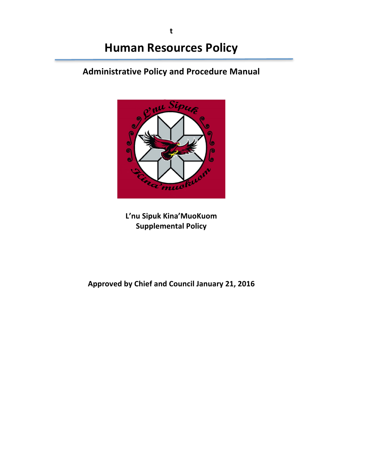**t**

# **Administrative Policy and Procedure Manual**



**L'nu Sipuk Kina'MuoKuom Supplemental Policy**

Approved by Chief and Council January 21, 2016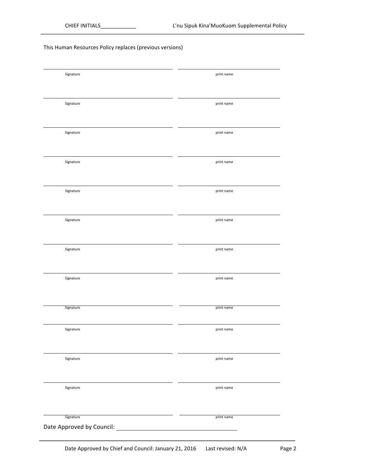#### This Human Resources Policy replaces (previous versions)

| Signature                 | print name                                                |
|---------------------------|-----------------------------------------------------------|
|                           |                                                           |
|                           |                                                           |
|                           |                                                           |
| Signature                 | print name                                                |
|                           |                                                           |
|                           |                                                           |
|                           |                                                           |
| Signature                 | print name                                                |
|                           |                                                           |
|                           |                                                           |
|                           |                                                           |
| Signature                 | print name                                                |
|                           |                                                           |
|                           |                                                           |
|                           |                                                           |
|                           |                                                           |
| Signature                 | print name                                                |
|                           |                                                           |
|                           |                                                           |
|                           |                                                           |
| Signature                 | print name                                                |
|                           |                                                           |
|                           |                                                           |
|                           |                                                           |
| Signature                 | print name                                                |
|                           |                                                           |
|                           |                                                           |
|                           |                                                           |
| Signature                 | print name                                                |
|                           |                                                           |
|                           |                                                           |
|                           |                                                           |
| Signature                 | print name                                                |
|                           |                                                           |
|                           |                                                           |
| Signature                 | print name                                                |
|                           |                                                           |
|                           |                                                           |
|                           |                                                           |
| Signature                 | print name                                                |
|                           |                                                           |
|                           |                                                           |
|                           |                                                           |
| Signature                 | print name                                                |
|                           |                                                           |
|                           |                                                           |
|                           |                                                           |
|                           |                                                           |
| Signature                 | print name                                                |
| Date Approved by Council: | <u> 1980 - Johann Barn, mars eta bainar eta idazlea (</u> |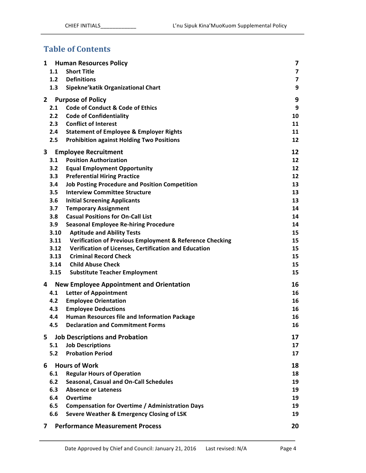# **Table of Contents**

|              |      | 1 Human Resources Policy                                 | 7  |
|--------------|------|----------------------------------------------------------|----|
|              | 1.1  | <b>Short Title</b>                                       | 7  |
|              | 1.2  | <b>Definitions</b>                                       | 7  |
|              | 1.3  | Sipekne'katik Organizational Chart                       | 9  |
| $\mathbf{2}$ |      | <b>Purpose of Policy</b>                                 | 9  |
|              | 2.1  | <b>Code of Conduct &amp; Code of Ethics</b>              | 9  |
|              | 2.2  | <b>Code of Confidentiality</b>                           | 10 |
|              | 2.3  | <b>Conflict of Interest</b>                              | 11 |
|              | 2.4  | <b>Statement of Employee &amp; Employer Rights</b>       | 11 |
|              | 2.5  | <b>Prohibition against Holding Two Positions</b>         | 12 |
|              |      |                                                          |    |
| 3            |      | <b>Employee Recruitment</b>                              | 12 |
|              | 3.1  | <b>Position Authorization</b>                            | 12 |
|              | 3.2  | <b>Equal Employment Opportunity</b>                      | 12 |
|              | 3.3  | <b>Preferential Hiring Practice</b>                      | 12 |
|              | 3.4  | <b>Job Posting Procedure and Position Competition</b>    | 13 |
|              | 3.5  | <b>Interview Committee Structure</b>                     | 13 |
|              | 3.6  | <b>Initial Screening Applicants</b>                      | 13 |
|              | 3.7  | <b>Temporary Assignment</b>                              | 14 |
|              | 3.8  | <b>Casual Positions for On-Call List</b>                 | 14 |
|              | 3.9  | <b>Seasonal Employee Re-hiring Procedure</b>             | 14 |
|              | 3.10 | <b>Aptitude and Ability Tests</b>                        | 15 |
|              | 3.11 | Verification of Previous Employment & Reference Checking | 15 |
|              | 3.12 | Verification of Licenses, Certification and Education    | 15 |
|              | 3.13 | <b>Criminal Record Check</b>                             | 15 |
|              | 3.14 | <b>Child Abuse Check</b>                                 | 15 |
|              | 3.15 | <b>Substitute Teacher Employment</b>                     | 15 |
| 4            |      | <b>New Employee Appointment and Orientation</b>          | 16 |
|              | 4.1  | <b>Letter of Appointment</b>                             | 16 |
|              | 4.2  | <b>Employee Orientation</b>                              | 16 |
|              | 4.3  | <b>Employee Deductions</b>                               | 16 |
|              | 4.4  | Human Resources file and Information Package             | 16 |
|              | 4.5  | <b>Declaration and Commitment Forms</b>                  | 16 |
| 5            |      | <b>Job Descriptions and Probation</b>                    | 17 |
|              | 5.1  | <b>Job Descriptions</b>                                  | 17 |
|              | 5.2  | <b>Probation Period</b>                                  | 17 |
|              |      |                                                          |    |
| 6            |      | <b>Hours of Work</b>                                     | 18 |
|              | 6.1  | <b>Regular Hours of Operation</b>                        | 18 |
|              | 6.2  | <b>Seasonal, Casual and On-Call Schedules</b>            | 19 |
|              | 6.3  | <b>Absence or Lateness</b>                               | 19 |
|              | 6.4  | Overtime                                                 | 19 |
|              | 6.5  | <b>Compensation for Overtime / Administration Days</b>   | 19 |
|              | 6.6  | Severe Weather & Emergency Closing of LSK                | 19 |
| 7            |      | <b>Performance Measurement Process</b>                   | 20 |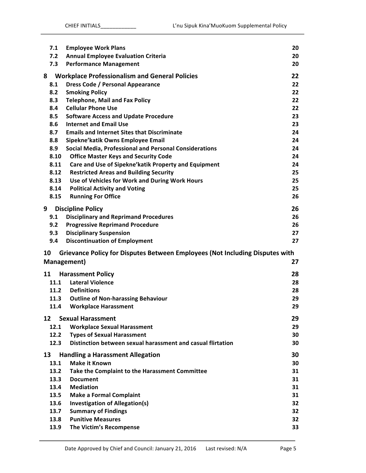|    | 7.1  | <b>Employee Work Plans</b>                                                   | 20 |
|----|------|------------------------------------------------------------------------------|----|
|    | 7.2  | <b>Annual Employee Evaluation Criteria</b>                                   | 20 |
|    | 7.3  | <b>Performance Management</b>                                                | 20 |
| 8  |      | <b>Workplace Professionalism and General Policies</b>                        | 22 |
|    | 8.1  | <b>Dress Code / Personal Appearance</b>                                      | 22 |
|    | 8.2  | <b>Smoking Policy</b>                                                        | 22 |
|    | 8.3  | <b>Telephone, Mail and Fax Policy</b>                                        | 22 |
|    | 8.4  | <b>Cellular Phone Use</b>                                                    | 22 |
|    | 8.5  | <b>Software Access and Update Procedure</b>                                  | 23 |
|    | 8.6  | <b>Internet and Email Use</b>                                                | 23 |
|    | 8.7  | <b>Emails and Internet Sites that Discriminate</b>                           | 24 |
|    | 8.8  | Sipekne'katik Owns Employee Email                                            | 24 |
|    | 8.9  | Social Media, Professional and Personal Considerations                       | 24 |
|    | 8.10 | <b>Office Master Keys and Security Code</b>                                  | 24 |
|    | 8.11 | Care and Use of Sipekne' katik Property and Equipment                        | 24 |
|    | 8.12 | <b>Restricted Areas and Building Security</b>                                | 25 |
|    | 8.13 | Use of Vehicles for Work and During Work Hours                               | 25 |
|    | 8.14 | <b>Political Activity and Voting</b>                                         | 25 |
|    | 8.15 | <b>Running For Office</b>                                                    | 26 |
| 9  |      | <b>Discipline Policy</b>                                                     | 26 |
|    | 9.1  | <b>Disciplinary and Reprimand Procedures</b>                                 | 26 |
|    | 9.2  | <b>Progressive Reprimand Procedure</b>                                       | 26 |
|    | 9.3  | <b>Disciplinary Suspension</b>                                               | 27 |
|    | 9.4  | <b>Discontinuation of Employment</b>                                         | 27 |
| 10 |      | Grievance Policy for Disputes Between Employees (Not Including Disputes with |    |
|    |      | Management)                                                                  | 27 |
| 11 |      | <b>Harassment Policy</b>                                                     | 28 |
|    | 11.1 | <b>Lateral Violence</b>                                                      | 28 |
|    | 11.2 | <b>Definitions</b>                                                           | 28 |
|    | 11.3 | <b>Outline of Non-harassing Behaviour</b>                                    | 29 |
|    | 11.4 | <b>Workplace Harassment</b>                                                  | 29 |
| 12 |      | <b>Sexual Harassment</b>                                                     | 29 |
|    | 12.1 | <b>Workplace Sexual Harassment</b>                                           | 29 |
|    | 12.2 | <b>Types of Sexual Harassment</b>                                            | 30 |
|    | 12.3 | Distinction between sexual harassment and casual flirtation                  | 30 |
| 13 |      | <b>Handling a Harassment Allegation</b>                                      | 30 |
|    | 13.1 | <b>Make it Known</b>                                                         | 30 |
|    | 13.2 | Take the Complaint to the Harassment Committee                               | 31 |
|    | 13.3 | <b>Document</b>                                                              | 31 |
|    | 13.4 | <b>Mediation</b>                                                             | 31 |
|    | 13.5 | <b>Make a Formal Complaint</b>                                               | 31 |
|    | 13.6 | <b>Investigation of Allegation(s)</b>                                        | 32 |
|    | 13.7 | <b>Summary of Findings</b>                                                   | 32 |
|    |      |                                                                              |    |
|    | 13.8 | <b>Punitive Measures</b>                                                     | 32 |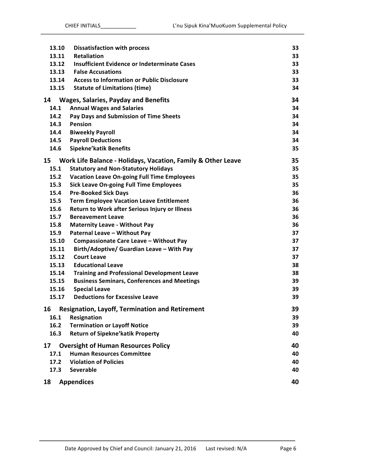| 13.10 | <b>Dissatisfaction with process</b>                          | 33 |
|-------|--------------------------------------------------------------|----|
| 13.11 | Retaliation                                                  | 33 |
| 13.12 | Insufficient Evidence or Indeterminate Cases                 | 33 |
| 13.13 | <b>False Accusations</b>                                     | 33 |
| 13.14 | <b>Access to Information or Public Disclosure</b>            | 33 |
| 13.15 | <b>Statute of Limitations (time)</b>                         | 34 |
| 14    | <b>Wages, Salaries, Payday and Benefits</b>                  | 34 |
| 14.1  | <b>Annual Wages and Salaries</b>                             | 34 |
| 14.2  | Pay Days and Submission of Time Sheets                       | 34 |
| 14.3  | Pension                                                      | 34 |
| 14.4  | <b>Biweekly Payroll</b>                                      | 34 |
| 14.5  | <b>Payroll Deductions</b>                                    | 34 |
| 14.6  | <b>Sipekne'katik Benefits</b>                                | 35 |
| 15    | Work Life Balance - Holidays, Vacation, Family & Other Leave | 35 |
| 15.1  | <b>Statutory and Non-Statutory Holidays</b>                  | 35 |
| 15.2  | <b>Vacation Leave On-going Full Time Employees</b>           | 35 |
| 15.3  | <b>Sick Leave On-going Full Time Employees</b>               | 35 |
| 15.4  | <b>Pre-Booked Sick Days</b>                                  | 36 |
| 15.5  | <b>Term Employee Vacation Leave Entitlement</b>              | 36 |
| 15.6  | Return to Work after Serious Injury or Illness               | 36 |
| 15.7  | <b>Bereavement Leave</b>                                     | 36 |
| 15.8  | <b>Maternity Leave - Without Pay</b>                         | 36 |
| 15.9  | Paternal Leave - Without Pay                                 | 37 |
| 15.10 | Compassionate Care Leave - Without Pay                       | 37 |
| 15.11 | Birth/Adoptive/ Guardian Leave - With Pay                    | 37 |
| 15.12 | <b>Court Leave</b>                                           | 37 |
| 15.13 | <b>Educational Leave</b>                                     | 38 |
| 15.14 | <b>Training and Professional Development Leave</b>           | 38 |
| 15.15 | <b>Business Seminars, Conferences and Meetings</b>           | 39 |
| 15.16 | <b>Special Leave</b>                                         | 39 |
| 15.17 | <b>Deductions for Excessive Leave</b>                        | 39 |
| 16    | <b>Resignation, Layoff, Termination and Retirement</b>       | 39 |
| 16.1  | Resignation                                                  | 39 |
| 16.2  | <b>Termination or Layoff Notice</b>                          | 39 |
| 16.3  | <b>Return of Sipekne'katik Property</b>                      | 40 |
| 17    | <b>Oversight of Human Resources Policy</b>                   | 40 |
| 17.1  | <b>Human Resources Committee</b>                             | 40 |
| 17.2  | <b>Violation of Policies</b>                                 | 40 |
| 17.3  | <b>Severable</b>                                             | 40 |
| 18    | <b>Appendices</b>                                            | 40 |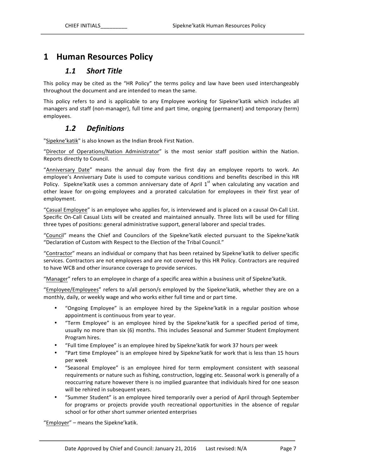# **1 Human Resources Policy**

#### *1.1 Short Title*

This policy may be cited as the "HR Policy" the terms policy and law have been used interchangeably throughout the document and are intended to mean the same.

This policy refers to and is applicable to any Employee working for Sipekne'katik which includes all managers and staff (non-manager), full time and part time, ongoing (permanent) and temporary (term) employees.

#### *1.2 Definitions*

"Sipekne'katik" is also known as the Indian Brook First Nation.

"Director of Operations/Nation Administrator" is the most senior staff position within the Nation. Reports directly to Council.

"Anniversary Date" means the annual day from the first day an employee reports to work. An employee's Anniversary Date is used to compute various conditions and benefits described in this HR Policy. Sipekne'katik uses a common anniversary date of April  $1<sup>st</sup>$  when calculating any vacation and other leave for on-going employees and a prorated calculation for employees in their first year of employment.

"Casual Employee" is an employee who applies for, is interviewed and is placed on a causal On-Call List. Specific On-Call Casual Lists will be created and maintained annually. Three lists will be used for filling three types of positions: general administrative support, general laborer and special trades.

"Council" means the Chief and Councilors of the Sipekne'katik elected pursuant to the Sipekne'katik "Declaration of Custom with Respect to the Election of the Tribal Council."

"Contractor" means an individual or company that has been retained by Sipekne'katik to deliver specific services. Contractors are not employees and are not covered by this HR Policy. Contractors are required to have WCB and other insurance coverage to provide services.

"Manager" refers to an employee in charge of a specific area within a business unit of Sipekne'katik.

"Employee/Employees" refers to a/all person/s employed by the Sipekne'katik, whether they are on a monthly, daily, or weekly wage and who works either full time and or part time.

- "Ongoing Employee" is an employee hired by the Sipekne'katik in a regular position whose appointment is continuous from year to year.
- "Term Employee" is an employee hired by the Sipekne'katik for a specified period of time, usually no more than six (6) months. This includes Seasonal and Summer Student Employment Program hires.
- "Full time Employee" is an employee hired by Sipekne' katik for work 37 hours per week
- "Part time Employee" is an employee hired by Sipekne' katik for work that is less than 15 hours per week
- "Seasonal Employee" is an employee hired for term employment consistent with seasonal requirements or nature such as fishing, construction, logging etc. Seasonal work is generally of a reoccurring nature however there is no implied guarantee that individuals hired for one season will be rehired in subsequent years.
- "Summer Student" is an employee hired temporarily over a period of April through September for programs or projects provide youth recreational opportunities in the absence of regular school or for other short summer oriented enterprises

"Employer" - means the Sipekne'katik.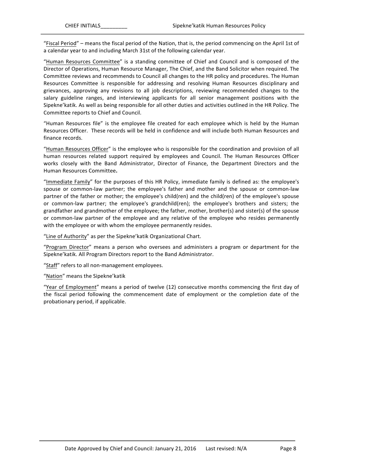"Fiscal Period" – means the fiscal period of the Nation, that is, the period commencing on the April 1st of a calendar year to and including March 31st of the following calendar year.

"Human Resources Committee" is a standing committee of Chief and Council and is composed of the Director of Operations, Human Resource Manager, The Chief, and the Band Solicitor when required. The Committee reviews and recommends to Council all changes to the HR policy and procedures. The Human Resources Committee is responsible for addressing and resolving Human Resources disciplinary and grievances, approving any revisions to all job descriptions, reviewing recommended changes to the salary guideline ranges, and interviewing applicants for all senior management positions with the Sipekne'katik. As well as being responsible for all other duties and activities outlined in the HR Policy. The Committee reports to Chief and Council.

"Human Resources file" is the employee file created for each employee which is held by the Human Resources Officer. These records will be held in confidence and will include both Human Resources and finance records.

"Human Resources Officer" is the employee who is responsible for the coordination and provision of all human resources related support required by employees and Council. The Human Resources Officer works closely with the Band Administrator, Director of Finance, the Department Directors and the Human Resources Committee**.**

"Immediate Family" for the purposes of this HR Policy, immediate family is defined as: the employee's spouse or common-law partner; the employee's father and mother and the spouse or common-law partner of the father or mother; the employee's child(ren) and the child(ren) of the employee's spouse or common-law partner; the employee's grandchild(ren); the employee's brothers and sisters; the grandfather and grandmother of the employee; the father, mother, brother(s) and sister(s) of the spouse or common-law partner of the employee and any relative of the employee who resides permanently with the employee or with whom the employee permanently resides.

"Line of Authority" as per the Sipekne' katik Organizational Chart.

"Program Director" means a person who oversees and administers a program or department for the Sipekne'katik. All Program Directors report to the Band Administrator.

"Staff" refers to all non-management employees.

"Nation" means the Sipekne'katik

"Year of Employment" means a period of twelve (12) consecutive months commencing the first day of the fiscal period following the commencement date of employment or the completion date of the probationary period, if applicable.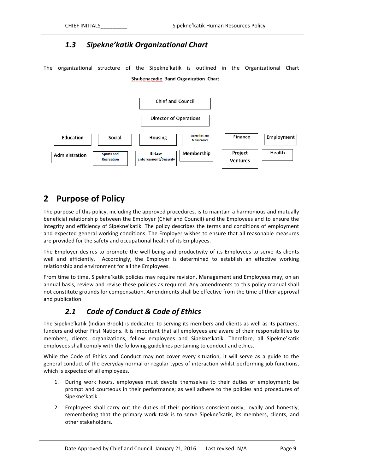### *1.3 Sipekne'katik Organizational Chart*

The organizational structure of the Sipekne'katik is outlined in the Organizational Chart Shubenacadie Band Organization Chart



# **2 Purpose of Policy**

The purpose of this policy, including the approved procedures, is to maintain a harmonious and mutually beneficial relationship between the Employer (Chief and Council) and the Employees and to ensure the integrity and efficiency of Sipekne'katik. The policy describes the terms and conditions of employment and expected general working conditions. The Employer wishes to ensure that all reasonable measures are provided for the safety and occupational health of its Employees.

The Employer desires to promote the well-being and productivity of its Employees to serve its clients well and efficiently. Accordingly, the Employer is determined to establish an effective working relationship and environment for all the Employees.

From time to time, Sipekne'katik policies may require revision. Management and Employees may, on an annual basis, review and revise these policies as required. Any amendments to this policy manual shall not constitute grounds for compensation. Amendments shall be effective from the time of their approval and publication.

# **2.1** Code of Conduct & Code of Ethics

The Sipekne'katik (Indian Brook) is dedicated to serving its members and clients as well as its partners, funders and other First Nations. It is important that all employees are aware of their responsibilities to members, clients, organizations, fellow employees and Sipekne'katik. Therefore, all Sipekne'katik employees shall comply with the following guidelines pertaining to conduct and ethics.

While the Code of Ethics and Conduct may not cover every situation, it will serve as a guide to the general conduct of the everyday normal or regular types of interaction whilst performing job functions, which is expected of all employees.

- 1. During work hours, employees must devote themselves to their duties of employment; be prompt and courteous in their performance; as well adhere to the policies and procedures of Sipekne'katik.
- 2. Employees shall carry out the duties of their positions conscientiously, loyally and honestly, remembering that the primary work task is to serve Sipekne'katik, its members, clients, and other stakeholders.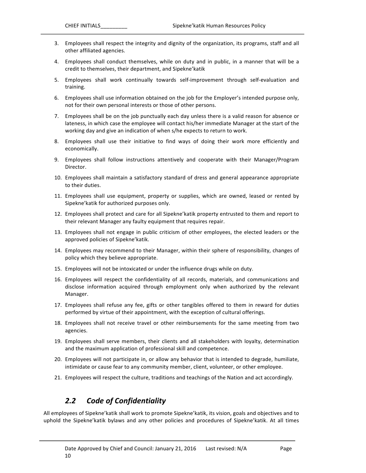- 3. Employees shall respect the integrity and dignity of the organization, its programs, staff and all other affiliated agencies.
- 4. Employees shall conduct themselves, while on duty and in public, in a manner that will be a credit to themselves, their department, and Sipekne'katik
- 5. Employees shall work continually towards self-improvement through self-evaluation and training.
- 6. Employees shall use information obtained on the job for the Employer's intended purpose only, not for their own personal interests or those of other persons.
- 7. Employees shall be on the job punctually each day unless there is a valid reason for absence or lateness, in which case the employee will contact his/her immediate Manager at the start of the working day and give an indication of when s/he expects to return to work.
- 8. Employees shall use their initiative to find ways of doing their work more efficiently and economically.
- 9. Employees shall follow instructions attentively and cooperate with their Manager/Program Director.
- 10. Employees shall maintain a satisfactory standard of dress and general appearance appropriate to their duties.
- 11. Employees shall use equipment, property or supplies, which are owned, leased or rented by Sipekne'katik for authorized purposes only.
- 12. Employees shall protect and care for all Sipekne' katik property entrusted to them and report to their relevant Manager any faulty equipment that requires repair.
- 13. Employees shall not engage in public criticism of other employees, the elected leaders or the approved policies of Sipekne'katik.
- 14. Employees may recommend to their Manager, within their sphere of responsibility, changes of policy which they believe appropriate.
- 15. Employees will not be intoxicated or under the influence drugs while on duty.
- 16. Employees will respect the confidentiality of all records, materials, and communications and disclose information acquired through employment only when authorized by the relevant Manager.
- 17. Employees shall refuse any fee, gifts or other tangibles offered to them in reward for duties performed by virtue of their appointment, with the exception of cultural offerings.
- 18. Employees shall not receive travel or other reimbursements for the same meeting from two agencies.
- 19. Employees shall serve members, their clients and all stakeholders with loyalty, determination and the maximum application of professional skill and competence.
- 20. Employees will not participate in, or allow any behavior that is intended to degrade, humiliate, intimidate or cause fear to any community member, client, volunteer, or other employee.
- 21. Employees will respect the culture, traditions and teachings of the Nation and act accordingly.

#### *2.2 Code of Confidentiality*

All employees of Sipekne'katik shall work to promote Sipekne'katik, its vision, goals and objectives and to uphold the Sipekne'katik bylaws and any other policies and procedures of Sipekne'katik. At all times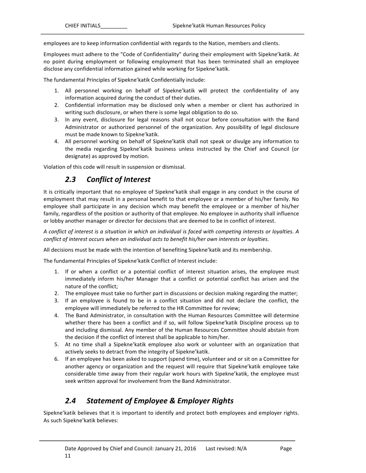employees are to keep information confidential with regards to the Nation, members and clients.

Employees must adhere to the "Code of Confidentiality" during their employment with Sipekne'katik. At no point during employment or following employment that has been terminated shall an employee disclose any confidential information gained while working for Sipekne'katik.

The fundamental Principles of Sipekne' katik Confidentially include:

- 1. All personnel working on behalf of Sipekne'katik will protect the confidentiality of any information acquired during the conduct of their duties.
- 2. Confidential information may be disclosed only when a member or client has authorized in writing such disclosure, or when there is some legal obligation to do so.
- 3. In any event, disclosure for legal reasons shall not occur before consultation with the Band Administrator or authorized personnel of the organization. Any possibility of legal disclosure must be made known to Sipekne'katik.
- 4. All personnel working on behalf of Sipekne'katik shall not speak or divulge any information to the media regarding Sipekne'katik business unless instructed by the Chief and Council (or designate) as approved by motion.

Violation of this code will result in suspension or dismissal.

#### *2.3 Conflict of Interest*

It is critically important that no employee of Sipekne'katik shall engage in any conduct in the course of employment that may result in a personal benefit to that employee or a member of his/her family. No employee shall participate in any decision which may benefit the employee or a member of his/her family, regardless of the position or authority of that employee. No employee in authority shall influence or lobby another manager or director for decisions that are deemed to be in conflict of interest.

*A* conflict of interest is a situation in which an individual is faced with competing interests or loyalties. A *conflict of interest occurs when an individual acts to benefit his/her own interests or loyalties.* 

All decisions must be made with the intention of benefiting Sipekne'katik and its membership.

The fundamental Principles of Sipekne' katik Conflict of Interest include:

- 1. If or when a conflict or a potential conflict of interest situation arises, the employee must immediately inform his/her Manager that a conflict or potential conflict has arisen and the nature of the conflict;
- 2. The employee must take no further part in discussions or decision making regarding the matter;
- 3. If an employee is found to be in a conflict situation and did not declare the conflict, the employee will immediately be referred to the HR Committee for review;
- 4. The Band Administrator, in consultation with the Human Resources Committee will determine whether there has been a conflict and if so, will follow Sipekne' katik Discipline process up to and including dismissal. Any member of the Human Resources Committee should abstain from the decision if the conflict of interest shall be applicable to him/her.
- 5. At no time shall a Sipekne'katik employee also work or volunteer with an organization that actively seeks to detract from the integrity of Sipekne'katik.
- 6. If an employee has been asked to support (spend time), volunteer and or sit on a Committee for another agency or organization and the request will require that Sipekne'katik employee take considerable time away from their regular work hours with Sipekne'katik, the employee must seek written approval for involvement from the Band Administrator.

### *2.4 Statement of Employee & Employer Rights*

Sipekne'katik believes that it is important to identify and protect both employees and employer rights. As such Sipekne'katik believes: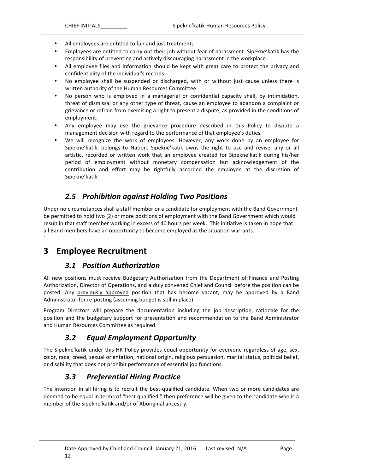- All employees are entitled to fair and just treatment;
- Employees are entitled to carry out their job without fear of harassment. Sipekne'katik has the responsibility of preventing and actively discouraging harassment in the workplace.
- All employee files and information should be kept with great care to protect the privacy and confidentiality of the individual's records.
- No employee shall be suspended or discharged, with or without just cause unless there is written authority of the Human Resources Committee.
- No person who is employed in a managerial or confidential capacity shall, by intimidation, threat of dismissal or any other type of threat, cause an employee to abandon a complaint or grievance or refrain from exercising a right to present a dispute, as provided in the conditions of employment.
- Any employee may use the grievance procedure described in this Policy to dispute a management decision with regard to the performance of that employee's duties.
- We will recognize the work of employees. However, any work done by an employee for Sipekne'katik, belongs to Nation. Sipekne'katik owns the right to use and revise, any or all artistic, recorded or written work that an employee created for Sipekne'katik during his/her period of employment without monetary compensation but acknowledgement of the contribution and effort may be rightfully accorded the employee at the discretion of Sipekne'katik.

### *2.5 Prohibition against Holding Two Positions*

Under no circumstances shall a staff member or a candidate for employment with the Band Government be permitted to hold two (2) or more positions of employment with the Band Government which would result in that staff member working in excess of 40 hours per week. This initiative is taken in hope that all Band members have an opportunity to become employed as the situation warrants.

# **3 Employee Recruitment**

`

#### *3.1 Position Authorization*

All new positions must receive Budgetary Authorization from the Department of Finance and Posting Authorization, Director of Operations, and a duly convened Chief and Council before the position can be posted. Any previously approved position that has become vacant, may be approved by a Band Administrator for re-posting (assuming budget is still in place).

Program Directors will prepare the documentation including the job description, rationale for the position and the budgetary support for presentation and recommendation to the Band Administrator and Human Resources Committee as required.

### *3.2 Equal Employment Opportunity*

The Sipekne' katik under this HR Policy provides equal opportunity for everyone regardless of age, sex, color, race, creed, sexual orientation, national origin, religious persuasion, marital status, political belief, or disability that does not prohibit performance of essential job functions.

# *3.3 Preferential Hiring Practice*

The intention in all hiring is to recruit the best-qualified candidate. When two or more candidates are deemed to be equal in terms of "best qualified," then preference will be given to the candidate who is a member of the Sipekne' katik and/or of Aboriginal ancestry.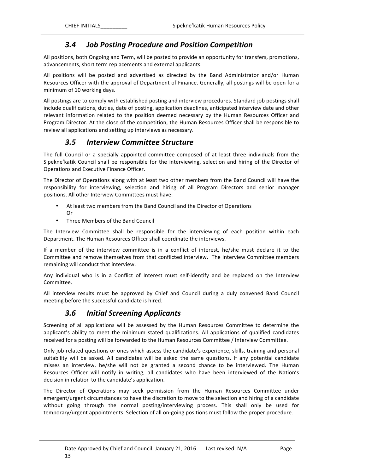## *3.4 Job Posting Procedure and Position Competition*

All positions, both Ongoing and Term, will be posted to provide an opportunity for transfers, promotions, advancements, short term replacements and external applicants.

All positions will be posted and advertised as directed by the Band Administrator and/or Human Resources Officer with the approval of Department of Finance. Generally, all postings will be open for a minimum of 10 working days.

All postings are to comply with established posting and interview procedures. Standard job postings shall include qualifications, duties, date of posting, application deadlines, anticipated interview date and other relevant information related to the position deemed necessary by the Human Resources Officer and Program Director. At the close of the competition, the Human Resources Officer shall be responsible to review all applications and setting up interviews as necessary.

### *3.5 Interview Committee Structure*

The full Council or a specially appointed committee composed of at least three individuals from the Sipekne'katik Council shall be responsible for the interviewing, selection and hiring of the Director of Operations and Executive Finance Officer.

The Director of Operations along with at least two other members from the Band Council will have the responsibility for interviewing, selection and hiring of all Program Directors and senior manager positions. All other Interview Committees must have:

- At least two members from the Band Council and the Director of Operations Or
- Three Members of the Band Council

The Interview Committee shall be responsible for the interviewing of each position within each Department. The Human Resources Officer shall coordinate the interviews.

If a member of the interview committee is in a conflict of interest, he/she must declare it to the Committee and remove themselves from that conflicted interview. The Interview Committee members remaining will conduct that interview.

Any individual who is in a Conflict of Interest must self-identify and be replaced on the Interview Committee.

All interview results must be approved by Chief and Council during a duly convened Band Council meeting before the successful candidate is hired.

### *3.6 Initial Screening Applicants*

Screening of all applications will be assessed by the Human Resources Committee to determine the applicant's ability to meet the minimum stated qualifications. All applications of qualified candidates received for a posting will be forwarded to the Human Resources Committee / Interview Committee.

Only job-related questions or ones which assess the candidate's experience, skills, training and personal suitability will be asked. All candidates will be asked the same questions. If any potential candidate misses an interview, he/she will not be granted a second chance to be interviewed. The Human Resources Officer will notify in writing, all candidates who have been interviewed of the Nation's decision in relation to the candidate's application.

The Director of Operations may seek permission from the Human Resources Committee under emergent/urgent circumstances to have the discretion to move to the selection and hiring of a candidate without going through the normal posting/interviewing process. This shall only be used for temporary/urgent appointments. Selection of all on-going positions must follow the proper procedure.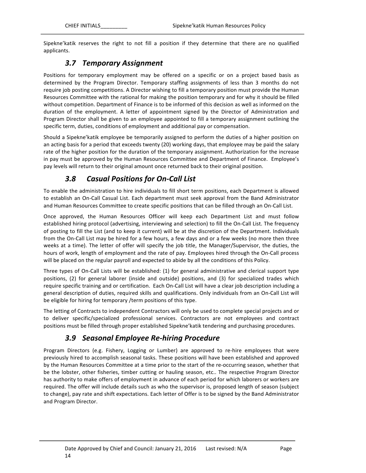Sipekne'katik reserves the right to not fill a position if they determine that there are no qualified applicants.

# *3.7 Temporary Assignment*

Positions for temporary employment may be offered on a specific or on a project based basis as determined by the Program Director. Temporary staffing assignments of less than 3 months do not require job posting competitions. A Director wishing to fill a temporary position must provide the Human Resources Committee with the rational for making the position temporary and for why it should be filled without competition. Department of Finance is to be informed of this decision as well as informed on the duration of the employment. A letter of appointment signed by the Director of Administration and Program Director shall be given to an employee appointed to fill a temporary assignment outlining the specific term, duties, conditions of employment and additional pay or compensation.

Should a Sipekne'katik employee be temporarily assigned to perform the duties of a higher position on an acting basis for a period that exceeds twenty (20) working days, that employee may be paid the salary rate of the higher position for the duration of the temporary assignment. Authorization for the increase in pay must be approved by the Human Resources Committee and Department of Finance. Employee's pay levels will return to their original amount once returned back to their original position.

# *3.8 Casual Positions for On-Call List*

To enable the administration to hire individuals to fill short term positions, each Department is allowed to establish an On-Call Casual List. Each department must seek approval from the Band Administrator and Human Resources Committee to create specific positions that can be filled through an On-Call List.

Once approved, the Human Resources Officer will keep each Department List and must follow established hiring protocol (advertising, interviewing and selection) to fill the On-Call List. The frequency of posting to fill the List (and to keep it current) will be at the discretion of the Department. Individuals from the On-Call List may be hired for a few hours, a few days and or a few weeks (no more then three weeks at a time). The letter of offer will specify the job title, the Manager/Supervisor, the duties, the hours of work, length of employment and the rate of pay. Employees hired through the On-Call process will be placed on the regular payroll and expected to abide by all the conditions of this Policy.

Three types of On-Call Lists will be established: (1) for general administrative and clerical support type positions, (2) for general laborer (inside and outside) positions, and (3) for specialized trades which require specific training and or certification. Each On-Call List will have a clear job description including a general description of duties, required skills and qualifications. Only individuals from an On-Call List will be eligible for hiring for temporary / term positions of this type.

The letting of Contracts to independent Contractors will only be used to complete special projects and or to deliver specific/specialized professional services. Contractors are not employees and contract positions must be filled through proper established Sipekne'katik tendering and purchasing procedures.

# *3.9 Seasonal Employee Re-hiring Procedure*

Program Directors (e.g. Fishery, Logging or Lumber) are approved to re-hire employees that were previously hired to accomplish seasonal tasks. These positions will have been established and approved by the Human Resources Committee at a time prior to the start of the re-occurring season, whether that be the lobster, other fisheries, timber cutting or hauling season, etc.. The respective Program Director has authority to make offers of employment in advance of each period for which laborers or workers are required. The offer will include details such as who the supervisor is, proposed length of season (subject to change), pay rate and shift expectations. Each letter of Offer is to be signed by the Band Administrator and Program Director.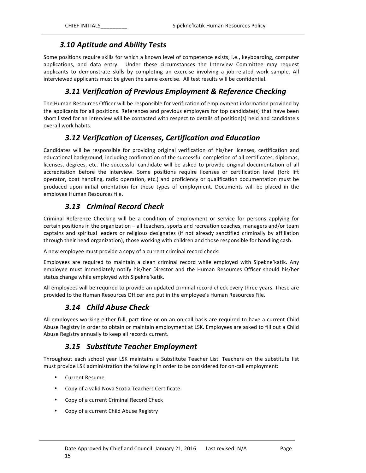#### *3.10 Aptitude and Ability Tests*

Some positions require skills for which a known level of competence exists, i.e., keyboarding, computer applications, and data entry. Under these circumstances the Interview Committee may request applicants to demonstrate skills by completing an exercise involving a job-related work sample. All interviewed applicants must be given the same exercise. All test results will be confidential.

### *3.11 Verification of Previous Employment & Reference Checking*

The Human Resources Officer will be responsible for verification of employment information provided by the applicants for all positions. References and previous employers for top candidate(s) that have been short listed for an interview will be contacted with respect to details of position(s) held and candidate's overall work habits.

### *3.12 Verification of Licenses, Certification and Education*

Candidates will be responsible for providing original verification of his/her licenses, certification and educational background, including confirmation of the successful completion of all certificates, diplomas, licenses, degrees, etc. The successful candidate will be asked to provide original documentation of all accreditation before the interview. Some positions require licenses or certification level (fork lift operator, boat handling, radio operation, etc.) and proficiency or qualification documentation must be produced upon initial orientation for these types of employment. Documents will be placed in the employee Human Resources file.

# *3.13 Criminal Record Check*

Criminal Reference Checking will be a condition of employment or service for persons applying for certain positions in the organization – all teachers, sports and recreation coaches, managers and/or team captains and spiritual leaders or religious designates (if not already sanctified criminally by affiliation through their head organization), those working with children and those responsible for handling cash.

A new employee must provide a copy of a current criminal record check.

Employees are required to maintain a clean criminal record while employed with Sipekne'katik. Any employee must immediately notify his/her Director and the Human Resources Officer should his/her status change while employed with Sipekne'katik.

All employees will be required to provide an updated criminal record check every three years. These are provided to the Human Resources Officer and put in the employee's Human Resources File.

### *3.14 Child Abuse Check*

All employees working either full, part time or on an on-call basis are required to have a current Child Abuse Registry in order to obtain or maintain employment at LSK. Employees are asked to fill out a Child Abuse Registry annually to keep all records current.

### *3.15 Substitute Teacher Employment*

Throughout each school year LSK maintains a Substitute Teacher List. Teachers on the substitute list must provide LSK administration the following in order to be considered for on-call employment:

- Current Resume
- Copy of a valid Nova Scotia Teachers Certificate
- Copy of a current Criminal Record Check
- Copy of a current Child Abuse Registry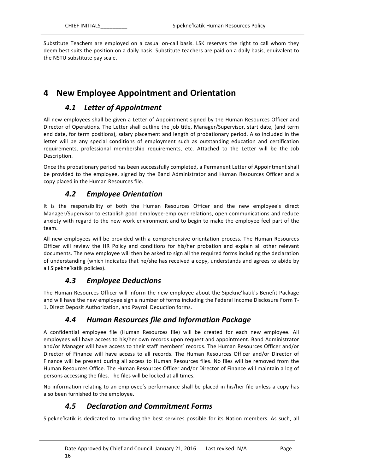Substitute Teachers are employed on a casual on-call basis. LSK reserves the right to call whom they deem best suits the position on a daily basis. Substitute teachers are paid on a daily basis, equivalent to the NSTU substitute pay scale.

# **4 New Employee Appointment and Orientation**

## *4.1 Letter of Appointment*

All new employees shall be given a Letter of Appointment signed by the Human Resources Officer and Director of Operations. The Letter shall outline the job title, Manager/Supervisor, start date, (and term end date, for term positions), salary placement and length of probationary period. Also included in the letter will be any special conditions of employment such as outstanding education and certification requirements, professional membership requirements, etc. Attached to the Letter will be the Job Description.

Once the probationary period has been successfully completed, a Permanent Letter of Appointment shall be provided to the employee, signed by the Band Administrator and Human Resources Officer and a copy placed in the Human Resources file.

### *4.2 Employee Orientation*

It is the responsibility of both the Human Resources Officer and the new employee's direct Manager/Supervisor to establish good employee-employer relations, open communications and reduce anxiety with regard to the new work environment and to begin to make the employee feel part of the team.

All new employees will be provided with a comprehensive orientation process. The Human Resources Officer will review the HR Policy and conditions for his/her probation and explain all other relevant documents. The new employee will then be asked to sign all the required forms including the declaration of understanding (which indicates that he/she has received a copy, understands and agrees to abide by all Sipekne'katik policies).

# *4.3 Employee Deductions*

The Human Resources Officer will inform the new employee about the Sipekne' katik's Benefit Package and will have the new employee sign a number of forms including the Federal Income Disclosure Form T-1, Direct Deposit Authorization, and Payroll Deduction forms.

# *4.4 Human Resources file and Information Package*

A confidential employee file (Human Resources file) will be created for each new employee. All employees will have access to his/her own records upon request and appointment. Band Administrator and/or Manager will have access to their staff members' records. The Human Resources Officer and/or Director of Finance will have access to all records. The Human Resources Officer and/or Director of Finance will be present during all access to Human Resources files. No files will be removed from the Human Resources Office. The Human Resources Officer and/or Director of Finance will maintain a log of persons accessing the files. The files will be locked at all times.

No information relating to an employee's performance shall be placed in his/her file unless a copy has also been furnished to the employee.

# *4.5 Declaration and Commitment Forms*

Sipekne'katik is dedicated to providing the best services possible for its Nation members. As such, all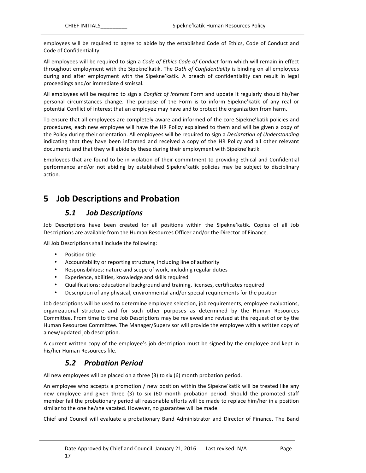employees will be required to agree to abide by the established Code of Ethics, Code of Conduct and Code of Confidentiality.

All employees will be required to sign a *Code of Ethics Code of Conduct* form which will remain in effect throughout employment with the Sipekne'katik. The *Oath of Confidentiality* is binding on all employees during and after employment with the Sipekne'katik. A breach of confidentiality can result in legal proceedings and/or immediate dismissal.

All employees will be required to sign a *Conflict of Interest* Form and update it regularly should his/her personal circumstances change. The purpose of the Form is to inform Sipekne'katik of any real or potential Conflict of Interest that an employee may have and to protect the organization from harm.

To ensure that all employees are completely aware and informed of the core Sipekne'katik policies and procedures, each new employee will have the HR Policy explained to them and will be given a copy of the Policy during their orientation. All employees will be required to sign a *Declaration of Understanding* indicating that they have been informed and received a copy of the HR Policy and all other relevant documents and that they will abide by these during their employment with Sipekne'katik.

Employees that are found to be in violation of their commitment to providing Ethical and Confidential performance and/or not abiding by established Sipekne'katik policies may be subject to disciplinary action.

# **5 Job Descriptions and Probation**

### *5.1 Job Descriptions*

Job Descriptions have been created for all positions within the Sipekne'katik. Copies of all Job Descriptions are available from the Human Resources Officer and/or the Director of Finance.

All Job Descriptions shall include the following:

- Position title
- Accountability or reporting structure, including line of authority
- Responsibilities: nature and scope of work, including regular duties
- Experience, abilities, knowledge and skills required
- Qualifications: educational background and training, licenses, certificates required
- Description of any physical, environmental and/or special requirements for the position

Job descriptions will be used to determine employee selection, job requirements, employee evaluations, organizational structure and for such other purposes as determined by the Human Resources Committee. From time to time Job Descriptions may be reviewed and revised at the request of or by the Human Resources Committee. The Manager/Supervisor will provide the employee with a written copy of a new/updated job description.

A current written copy of the employee's job description must be signed by the employee and kept in his/her Human Resources file.

### *5.2 Probation Period*

All new employees will be placed on a three (3) to six (6) month probation period.

An employee who accepts a promotion / new position within the Sipekne' katik will be treated like any new employee and given three (3) to six (60 month probation period. Should the promoted staff member fail the probationary period all reasonable efforts will be made to replace him/her in a position similar to the one he/she vacated. However, no guarantee will be made.

Chief and Council will evaluate a probationary Band Administrator and Director of Finance. The Band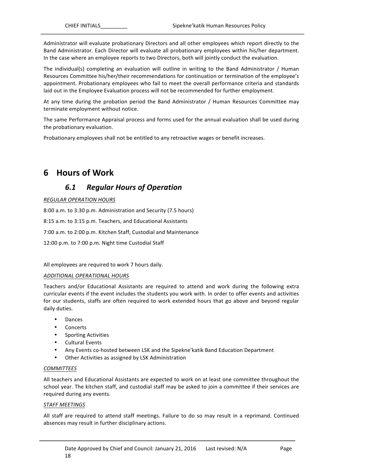Administrator will evaluate probationary Directors and all other employees which report directly to the Band Administrator. Each Director will evaluate all probationary employees within his/her department. In the case where an employee reports to two Directors, both will jointly conduct the evaluation.

The individual(s) completing an evaluation will outline in writing to the Band Administrator / Human Resources Committee his/her/their recommendations for continuation or termination of the employee's appointment. Probationary employees who fail to meet the overall performance criteria and standards laid out in the Employee Evaluation process will not be recommended for further employment.

At any time during the probation period the Band Administrator / Human Resources Committee may terminate employment without notice.

The same Performance Appraisal process and forms used for the annual evaluation shall be used during the probationary evaluation.

Probationary employees shall not be entitled to any retroactive wages or benefit increases.

# **6 Hours of Work**

#### *6.1 Regular Hours of Operation*

*REGULAR OPERATION HOURS*

8:00 a.m. to 3:30 p.m. Administration and Security (7.5 hours)

8:15 a.m. to 3:15 p.m. Teachers, and Educational Assistants

7:00 a.m. to 2:00 p.m. Kitchen Staff, Custodial and Maintenance

12:00 p.m. to 7:00 p.m. Night time Custodial Staff

All employees are required to work 7 hours daily.

#### *ADDITIONAL OPERATIONAL HOURS*

Teachers and/or Educational Assistants are required to attend and work during the following extra curricular events if the event includes the students you work with. In order to offer events and activities for our students, staffs are often required to work extended hours that go above and beyond regular daily duties.

- Dances
- Concerts
- Sporting Activities
- Cultural Events
- Any Events co-hosted between LSK and the Sipekne' katik Band Education Department
- Other Activities as assigned by LSK Administration

#### *COMMITTEES*

All teachers and Educational Assistants are expected to work on at least one committee throughout the school year. The kitchen staff, and custodial staff may be asked to join a committee if their services are required during any events.

#### *STAFF MEETINGS*

All staff are required to attend staff meetings. Failure to do so may result in a reprimand. Continued absences may result in further disciplinary actions.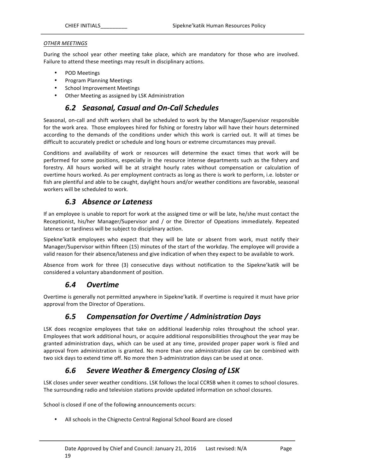#### *OTHER MEETINGS*

During the school year other meeting take place, which are mandatory for those who are involved. Failure to attend these meetings may result in disciplinary actions.

- POD Meetings
- Program Planning Meetings
- School Improvement Meetings
- Other Meeting as assigned by LSK Administration

#### *6.2 Seasonal, Casual and On-Call Schedules*

Seasonal, on-call and shift workers shall be scheduled to work by the Manager/Supervisor responsible for the work area. Those employees hired for fishing or forestry labor will have their hours determined according to the demands of the conditions under which this work is carried out. It will at times be difficult to accurately predict or schedule and long hours or extreme circumstances may prevail.

Conditions and availability of work or resources will determine the exact times that work will be performed for some positions, especially in the resource intense departments such as the fishery and forestry. All hours worked will be at straight hourly rates without compensation or calculation of overtime hours worked. As per employment contracts as long as there is work to perform, i.e. lobster or fish are plentiful and able to be caught, daylight hours and/or weather conditions are favorable, seasonal workers will be scheduled to work.

### *6.3 Absence or Lateness*

If an employee is unable to report for work at the assigned time or will be late, he/she must contact the Receptionist, his/her Manager/Supervisor and / or the Director of Opeations immediately. Repeated lateness or tardiness will be subject to disciplinary action.

Sipekne'katik employees who expect that they will be late or absent from work, must notify their Manager/Supervisor within fifteen (15) minutes of the start of the workday. The employee will provide a valid reason for their absence/lateness and give indication of when they expect to be available to work.

Absence from work for three (3) consecutive days without notification to the Sipekne'katik will be considered a voluntary abandonment of position.

### *6.4 Overtime*

Overtime is generally not permitted anywhere in Sipekne' katik. If overtime is required it must have prior approval from the Director of Operations.

### *6.5 Compensation for Overtime / Administration Days*

LSK does recognize employees that take on additional leadership roles throughout the school year. Employees that work additional hours, or acquire additional responsibilities throughout the year may be granted administration days, which can be used at any time, provided proper paper work is filed and approval from administration is granted. No more than one administration day can be combined with two sick days to extend time off. No more then 3-administration days can be used at once.

# *6.6 Severe Weather & Emergency Closing of LSK*

LSK closes under sever weather conditions. LSK follows the local CCRSB when it comes to school closures. The surrounding radio and television stations provide updated information on school closures.

School is closed if one of the following announcements occurs:

• All schools in the Chignecto Central Regional School Board are closed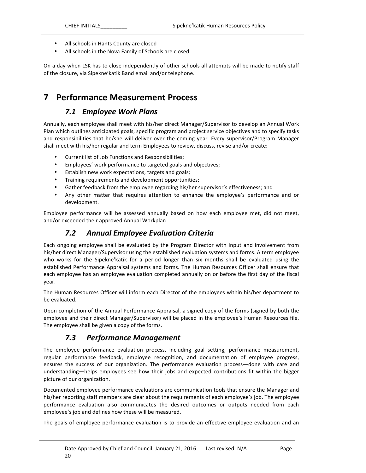- All schools in Hants County are closed
- All schools in the Nova Family of Schools are closed

On a day when LSK has to close independently of other schools all attempts will be made to notify staff of the closure, via Sipekne' katik Band email and/or telephone.

# **7 Performance Measurement Process**

### *7.1 Employee Work Plans*

Annually, each employee shall meet with his/her direct Manager/Supervisor to develop an Annual Work Plan which outlines anticipated goals, specific program and project service objectives and to specify tasks and responsibilities that he/she will deliver over the coming year. Every supervisor/Program Manager shall meet with his/her regular and term Employees to review, discuss, revise and/or create:

- Current list of Job Functions and Responsibilities;
- Employees' work performance to targeted goals and objectives;
- Establish new work expectations, targets and goals;
- Training requirements and development opportunities;
- Gather feedback from the employee regarding his/her supervisor's effectiveness; and
- Any other matter that requires attention to enhance the employee's performance and or development.

Employee performance will be assessed annually based on how each employee met, did not meet, and/or exceeded their approved Annual Workplan.

#### *7.2 Annual Employee Evaluation Criteria*

Each ongoing employee shall be evaluated by the Program Director with input and involvement from his/her direct Manager/Supervisor using the established evaluation systems and forms. A term employee who works for the Sipekne'katik for a period longer than six months shall be evaluated using the established Performance Appraisal systems and forms. The Human Resources Officer shall ensure that each employee has an employee evaluation completed annually on or before the first day of the fiscal year. 

The Human Resources Officer will inform each Director of the employees within his/her department to be evaluated.

Upon completion of the Annual Performance Appraisal, a signed copy of the forms (signed by both the employee and their direct Manager/Supervisor) will be placed in the employee's Human Resources file. The employee shall be given a copy of the forms.

#### *7.3 Performance Management*

The employee performance evaluation process, including goal setting, performance measurement, regular performance feedback, employee recognition, and documentation of employee progress, ensures the success of our organization. The performance evaluation process—done with care and understanding—helps employees see how their jobs and expected contributions fit within the bigger picture of our organization.

Documented employee performance evaluations are communication tools that ensure the Manager and his/her reporting staff members are clear about the requirements of each employee's job. The employee performance evaluation also communicates the desired outcomes or outputs needed from each employee's job and defines how these will be measured.

The goals of employee performance evaluation is to provide an effective employee evaluation and an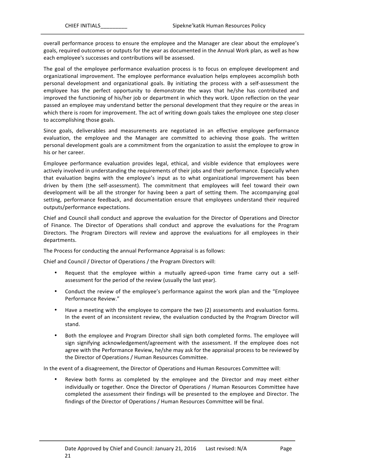overall performance process to ensure the employee and the Manager are clear about the employee's goals, required outcomes or outputs for the year as documented in the Annual Work plan, as well as how each employee's successes and contributions will be assessed.

The goal of the employee performance evaluation process is to focus on employee development and organizational improvement. The employee performance evaluation helps employees accomplish both personal development and organizational goals. By initiating the process with a self-assessment the employee has the perfect opportunity to demonstrate the ways that he/she has contributed and improved the functioning of his/her job or department in which they work. Upon reflection on the year passed an employee may understand better the personal development that they require or the areas in which there is room for improvement. The act of writing down goals takes the employee one step closer to accomplishing those goals.

Since goals, deliverables and measurements are negotiated in an effective employee performance evaluation, the employee and the Manager are committed to achieving those goals. The written personal development goals are a commitment from the organization to assist the employee to grow in his or her career.

Employee performance evaluation provides legal, ethical, and visible evidence that employees were actively involved in understanding the requirements of their jobs and their performance. Especially when that evaluation begins with the employee's input as to what organizational improvement has been driven by them (the self-assessment). The commitment that employees will feel toward their own development will be all the stronger for having been a part of setting them. The accompanying goal setting, performance feedback, and documentation ensure that employees understand their required outputs/performance expectations.

Chief and Council shall conduct and approve the evaluation for the Director of Operations and Director of Finance. The Director of Operations shall conduct and approve the evaluations for the Program Directors. The Program Directors will review and approve the evaluations for all employees in their departments.

The Process for conducting the annual Performance Appraisal is as follows:

Chief and Council / Director of Operations / the Program Directors will:

- Request that the employee within a mutually agreed-upon time frame carry out a selfassessment for the period of the review (usually the last year).
- Conduct the review of the employee's performance against the work plan and the "Employee" Performance Review."
- Have a meeting with the employee to compare the two (2) assessments and evaluation forms. In the event of an inconsistent review, the evaluation conducted by the Program Director will stand.
- Both the employee and Program Director shall sign both completed forms. The employee will sign signifying acknowledgement/agreement with the assessment. If the employee does not agree with the Performance Review, he/she may ask for the appraisal process to be reviewed by the Director of Operations / Human Resources Committee.

In the event of a disagreement, the Director of Operations and Human Resources Committee will:

• Review both forms as completed by the employee and the Director and may meet either individually or together. Once the Director of Operations / Human Resources Committee have completed the assessment their findings will be presented to the employee and Director. The findings of the Director of Operations / Human Resources Committee will be final.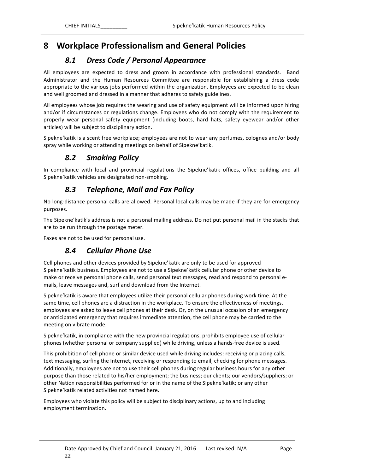# **8 Workplace Professionalism and General Policies**

# *8.1 Dress Code / Personal Appearance*

All employees are expected to dress and groom in accordance with professional standards. Band Administrator and the Human Resources Committee are responsible for establishing a dress code appropriate to the various jobs performed within the organization. Employees are expected to be clean and well groomed and dressed in a manner that adheres to safety guidelines.

All employees whose job requires the wearing and use of safety equipment will be informed upon hiring and/or if circumstances or regulations change. Employees who do not comply with the requirement to properly wear personal safety equipment (including boots, hard hats, safety eyewear and/or other articles) will be subject to disciplinary action.

Sipekne'katik is a scent free workplace; employees are not to wear any perfumes, colognes and/or body spray while working or attending meetings on behalf of Sipekne'katik.

#### *8.2 Smoking Policy*

In compliance with local and provincial regulations the Sipekne'katik offices, office building and all Sipekne'katik vehicles are designated non-smoking.

### *8.3 Telephone, Mail and Fax Policy*

No long-distance personal calls are allowed. Personal local calls may be made if they are for emergency purposes. 

The Sipekne' katik's address is not a personal mailing address. Do not put personal mail in the stacks that are to be run through the postage meter.

Faxes are not to be used for personal use.

#### *8.4 Cellular Phone Use*

Cell phones and other devices provided by Sipekne' katik are only to be used for approved Sipekne'katik business. Employees are not to use a Sipekne'katik cellular phone or other device to make or receive personal phone calls, send personal text messages, read and respond to personal emails, leave messages and, surf and download from the Internet.

Sipekne'katik is aware that employees utilize their personal cellular phones during work time. At the same time, cell phones are a distraction in the workplace. To ensure the effectiveness of meetings, employees are asked to leave cell phones at their desk. Or, on the unusual occasion of an emergency or anticipated emergency that requires immediate attention, the cell phone may be carried to the meeting on vibrate mode.

Sipekne'katik, in compliance with the new provincial regulations, prohibits employee use of cellular phones (whether personal or company supplied) while driving, unless a hands-free device is used.

This prohibition of cell phone or similar device used while driving includes: receiving or placing calls, text messaging, surfing the Internet, receiving or responding to email, checking for phone messages. Additionally, employees are not to use their cell phones during regular business hours for any other purpose than those related to his/her employment; the business; our clients; our vendors/suppliers; or other Nation responsibilities performed for or in the name of the Sipekne' katik; or any other Sipekne'katik related activities not named here.

Employees who violate this policy will be subject to disciplinary actions, up to and including employment termination.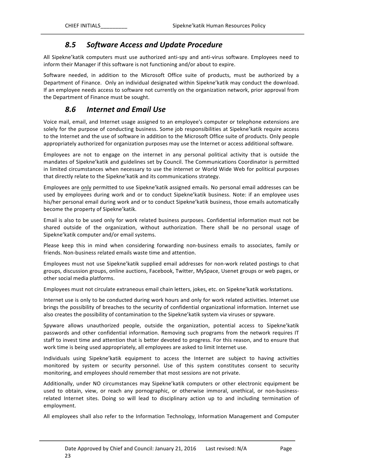### *8.5 Software Access and Update Procedure*

All Sipekne'katik computers must use authorized anti-spy and anti-virus software. Employees need to inform their Manager if this software is not functioning and/or about to expire.

Software needed, in addition to the Microsoft Office suite of products, must be authorized by a Department of Finance. Only an individual designated within Sipekne'katik may conduct the download. If an employee needs access to software not currently on the organization network, prior approval from the Department of Finance must be sought.

#### *8.6 Internet and Email Use*

Voice mail, email, and Internet usage assigned to an employee's computer or telephone extensions are solely for the purpose of conducting business. Some job responsibilities at Sipekne'katik require access to the Internet and the use of software in addition to the Microsoft Office suite of products. Only people appropriately authorized for organization purposes may use the Internet or access additional software.

Employees are not to engage on the internet in any personal political activity that is outside the mandates of Sipekne' katik and guidelines set by Council. The Communications Coordinator is permitted in limited circumstances when necessary to use the internet or World Wide Web for political purposes that directly relate to the Sipekne' katik and its communications strategy.

Employees are only permitted to use Sipekne'katik assigned emails. No personal email addresses can be used by employees during work and or to conduct Sipekne'katik business. Note: if an employee uses his/her personal email during work and or to conduct Sipekne' katik business, those emails automatically become the property of Sipekne'katik.

Email is also to be used only for work related business purposes. Confidential information must not be shared outside of the organization, without authorization. There shall be no personal usage of Sipekne'katik computer and/or email systems.

Please keep this in mind when considering forwarding non-business emails to associates, family or friends. Non-business related emails waste time and attention.

Employees must not use Sipekne' katik supplied email addresses for non-work related postings to chat groups, discussion groups, online auctions, Facebook, Twitter, MySpace, Usenet groups or web pages, or other social media platforms.

Employees must not circulate extraneous email chain letters, jokes, etc. on Sipekne'katik workstations.

Internet use is only to be conducted during work hours and only for work related activities. Internet use brings the possibility of breaches to the security of confidential organizational information. Internet use also creates the possibility of contamination to the Sipekne' katik system via viruses or spyware.

Spyware allows unauthorized people, outside the organization, potential access to Sipekne'katik passwords and other confidential information. Removing such programs from the network requires IT staff to invest time and attention that is better devoted to progress. For this reason, and to ensure that work time is being used appropriately, all employees are asked to limit Internet use.

Individuals using Sipekne'katik equipment to access the Internet are subject to having activities monitored by system or security personnel. Use of this system constitutes consent to security monitoring, and employees should remember that most sessions are not private.

Additionally, under NO circumstances may Sipekne'katik computers or other electronic equipment be used to obtain, view, or reach any pornographic, or otherwise immoral, unethical, or non-businessrelated Internet sites. Doing so will lead to disciplinary action up to and including termination of employment.

All employees shall also refer to the Information Technology, Information Management and Computer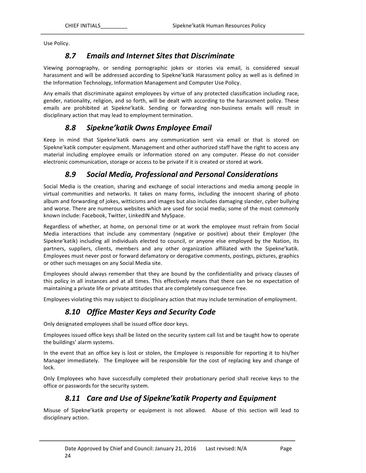Use Policy.

### *8.7 Emails and Internet Sites that Discriminate*

Viewing pornography, or sending pornographic jokes or stories via email, is considered sexual harassment and will be addressed according to Sipekne'katik Harassment policy as well as is defined in the Information Technology, Information Management and Computer Use Policy.

Any emails that discriminate against employees by virtue of any protected classification including race, gender, nationality, religion, and so forth, will be dealt with according to the harassment policy. These emails are prohibited at Sipekne'katik. Sending or forwarding non-business emails will result in disciplinary action that may lead to employment termination.

### *8.8 Sipekne'katik Owns Employee Email*

Keep in mind that Sipekne'katik owns any communication sent via email or that is stored on Sipekne'katik computer equipment. Management and other authorized staff have the right to access any material including employee emails or information stored on any computer. Please do not consider electronic communication, storage or access to be private if it is created or stored at work.

### *8.9 Social Media, Professional and Personal Considerations*

Social Media is the creation, sharing and exchange of social interactions and media among people in virtual communities and networks. It takes on many forms, including the innocent sharing of photo album and forwarding of jokes, witticisms and images but also includes damaging slander, cyber bullying and worse. There are numerous websites which are used for social media; some of the most commonly known include: Facebook, Twitter, LinkedIN and MySpace.

Regardless of whether, at home, on personal time or at work the employee must refrain from Social Media interactions that include any commentary (negative or positive) about their Employer (the Sipekne'katik) including all individuals elected to council, or anyone else employed by the Nation, its partners, suppliers, clients, members and any other organization affiliated with the Sipekne'katik. Employees must never post or forward defamatory or derogative comments, postings, pictures, graphics or other such messages on any Social Media site.

Employees should always remember that they are bound by the confidentiality and privacy clauses of this policy in all instances and at all times. This effectively means that there can be no expectation of maintaining a private life or private attitudes that are completely consequence free.

Employees violating this may subject to disciplinary action that may include termination of employment.

### *8.10 Office Master Keys and Security Code*

Only designated employees shall be issued office door keys.

Employees issued office keys shall be listed on the security system call list and be taught how to operate the buildings' alarm systems.

In the event that an office key is lost or stolen, the Employee is responsible for reporting it to his/her Manager immediately. The Employee will be responsible for the cost of replacing key and change of lock.

Only Employees who have successfully completed their probationary period shall receive keys to the office or passwords for the security system.

### *8.11 Care and Use of Sipekne'katik Property and Equipment*

Misuse of Sipekne'katik property or equipment is not allowed. Abuse of this section will lead to disciplinary action.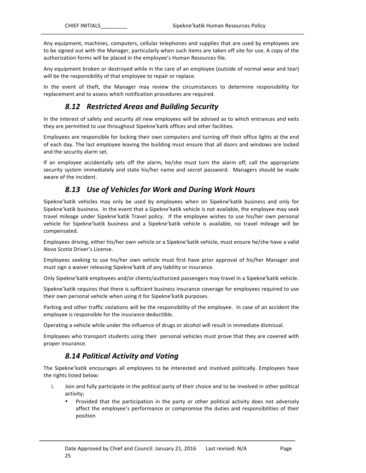Any equipment, machines, computers, cellular telephones and supplies that are used by employees are to be signed out with the Manager, particularly when such items are taken off site for use. A copy of the authorization forms will be placed in the employee's Human Resources file.

Any equipment broken or destroyed while in the care of an employee (outside of normal wear and tear) will be the responsibility of that employee to repair or replace.

In the event of theft, the Manager may review the circumstances to determine responsibility for replacement and to assess which notification procedures are required.

#### *8.12 Restricted Areas and Building Security*

In the interest of safety and security all new employees will be advised as to which entrances and exits they are permitted to use throughout Sipekne' katik offices and other facilities.

Employees are responsible for locking their own computers and turning off their office lights at the end of each day. The last employee leaving the building must ensure that all doors and windows are locked and the security alarm set.

If an employee accidentally sets off the alarm, he/she must turn the alarm off, call the appropriate security system immediately and state his/her name and secret password. Managers should be made aware of the incident.

### **8.13 Use of Vehicles for Work and During Work Hours**

Sipekne'katik vehicles may only be used by employees when on Sipekne'katik business and only for Sipekne'katik business. In the event that a Sipekne'katik vehicle is not available, the employee may seek travel mileage under Sipekne'katik Travel policy. If the employee wishes to use his/her own personal vehicle for Sipekne'katik business and a Sipekne'katik vehicle is available, no travel mileage will be compensated. 

Employees driving, either his/her own vehicle or a Sipekne'katik vehicle, must ensure he/she have a valid *Nova Scotia Driver's License.* 

Employees seeking to use his/her own vehicle must first have prior approval of his/her Manager and must sign a waiver releasing Sipekne' katik of any liability or insurance.

Only Sipekne'katik employees and/or clients/authorized passengers may travel in a Sipekne'katik vehicle.

Sipekne'katik requires that there is sufficient business insurance coverage for employees required to use their own personal vehicle when using it for Sipekne' katik purposes.

Parking and other traffic violations will be the responsibility of the employee. In case of an accident the employee is responsible for the insurance deductible.

Operating a vehicle while under the influence of drugs or alcohol will result in immediate dismissal.

Employees who transport students using their personal vehicles must prove that they are covered with proper insurance.

#### *8.14 Political Activity and Voting*

The Sipekne'katik encourages all employees to be interested and involved politically. Employees have the rights listed below:

- i. Join and fully participate in the political party of their choice and to be involved in other political activity;
	- Provided that the participation in the party or other political activity does not adversely affect the employee's performance or compromise the duties and responsibilities of their position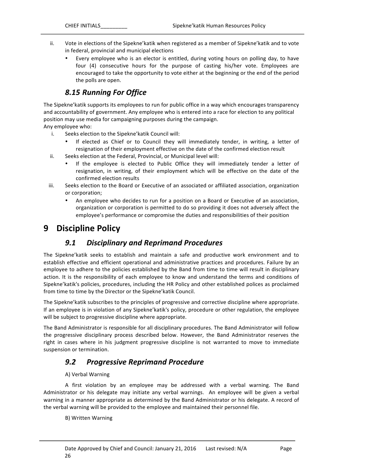- ii. Vote in elections of the Sipekne' katik when registered as a member of Sipekne' katik and to vote in federal, provincial and municipal elections
	- Every employee who is an elector is entitled, during voting hours on polling day, to have four (4) consecutive hours for the purpose of casting his/her vote. Employees are encouraged to take the opportunity to vote either at the beginning or the end of the period the polls are open.

# *8.15 Running For Office*

The Sipekne' katik supports its employees to run for public office in a way which encourages transparency and accountability of government. Any employee who is entered into a race for election to any political position may use media for campaigning purposes during the campaign.

#### Any employee who:

- i. Seeks election to the Sipekne' katik Council will:
	- If elected as Chief or to Council they will immediately tender, in writing, a letter of resignation of their employment effective on the date of the confirmed election result
- ii. Seeks election at the Federal, Provincial, or Municipal level will:
	- If the employee is elected to Public Office they will immediately tender a letter of resignation, in writing, of their employment which will be effective on the date of the confirmed election results
- iii. Seeks election to the Board or Executive of an associated or affiliated association, organization or corporation;
	- An employee who decides to run for a position on a Board or Executive of an association, organization or corporation is permitted to do so providing it does not adversely affect the employee's performance or compromise the duties and responsibilities of their position

# **9** Discipline Policy

#### *9.1 Disciplinary and Reprimand Procedures*

The Sipekne'katik seeks to establish and maintain a safe and productive work environment and to establish effective and efficient operational and administrative practices and procedures. Failure by an employee to adhere to the policies established by the Band from time to time will result in disciplinary action. It is the responsibility of each employee to know and understand the terms and conditions of Sipekne'katik's policies, procedures, including the HR Policy and other established polices as proclaimed from time to time by the Director or the Sipekne'katik Council.

The Sipekne' katik subscribes to the principles of progressive and corrective discipline where appropriate. If an employee is in violation of any Sipekne' katik's policy, procedure or other regulation, the employee will be subject to progressive discipline where appropriate.

The Band Administrator is responsible for all disciplinary procedures. The Band Administrator will follow the progressive disciplinary process described below. However, the Band Administrator reserves the right in cases where in his judgment progressive discipline is not warranted to move to immediate suspension or termination.

#### *9.2 Progressive Reprimand Procedure*

#### A) Verbal Warning

A first violation by an employee may be addressed with a verbal warning. The Band Administrator or his delegate may initiate any verbal warnings. An employee will be given a verbal warning in a manner appropriate as determined by the Band Administrator or his delegate. A record of the verbal warning will be provided to the employee and maintained their personnel file.

#### B) Written Warning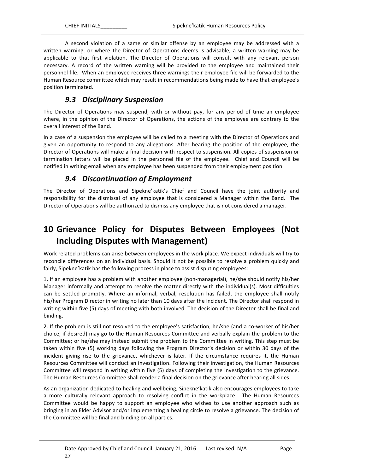A second violation of a same or similar offense by an employee may be addressed with a written warning, or where the Director of Operations deems is advisable, a written warning may be applicable to that first violation. The Director of Operations will consult with any relevant person necessary. A record of the written warning will be provided to the employee and maintained their personnel file. When an employee receives three warnings their employee file will be forwarded to the Human Resource committee which may result in recommendations being made to have that employee's position terminated.

#### *9.3 Disciplinary Suspension*

The Director of Operations may suspend, with or without pay, for any period of time an employee where, in the opinion of the Director of Operations, the actions of the employee are contrary to the overall interest of the Band.

In a case of a suspension the employee will be called to a meeting with the Director of Operations and given an opportunity to respond to any allegations. After hearing the position of the employee, the Director of Operations will make a final decision with respect to suspension. All copies of suspension or termination letters will be placed in the personnel file of the employee. Chief and Council will be notified in writing email when any employee has been suspended from their employment position.

#### *9.4 Discontinuation of Employment*

The Director of Operations and Sipekne'katik's Chief and Council have the joint authority and responsibility for the dismissal of any employee that is considered a Manager within the Band. The Director of Operations will be authorized to dismiss any employee that is not considered a manager.

# **10 Grievance Policy for Disputes Between Employees (Not Including Disputes with Management)**

Work related problems can arise between employees in the work place. We expect individuals will try to reconcile differences on an individual basis. Should it not be possible to resolve a problem quickly and fairly, Sipekne' katik has the following process in place to assist disputing employees:

1. If an employee has a problem with another employee (non-managerial), he/she should notify his/her Manager informally and attempt to resolve the matter directly with the individual(s). Most difficulties can be settled promptly. Where an informal, verbal, resolution has failed, the employee shall notify his/her Program Director in writing no later than 10 days after the incident. The Director shall respond in writing within five (5) days of meeting with both involved. The decision of the Director shall be final and binding.

2. If the problem is still not resolved to the employee's satisfaction, he/she (and a co-worker of his/her choice, if desired) may go to the Human Resources Committee and verbally explain the problem to the Committee; or he/she may instead submit the problem to the Committee in writing. This step must be taken within five (5) working days following the Program Director's decision or within 30 days of the incident giving rise to the grievance, whichever is later. If the circumstance requires it, the Human Resources Committee will conduct an investigation. Following their investigation, the Human Resources Committee will respond in writing within five (5) days of completing the investigation to the grievance. The Human Resources Committee shall render a final decision on the grievance after hearing all sides.

As an organization dedicated to healing and wellbeing, Sipekne'katik also encourages employees to take a more culturally relevant approach to resolving conflict in the workplace. The Human Resources Committee would be happy to support an employee who wishes to use another approach such as bringing in an Elder Advisor and/or implementing a healing circle to resolve a grievance. The decision of the Committee will be final and binding on all parties.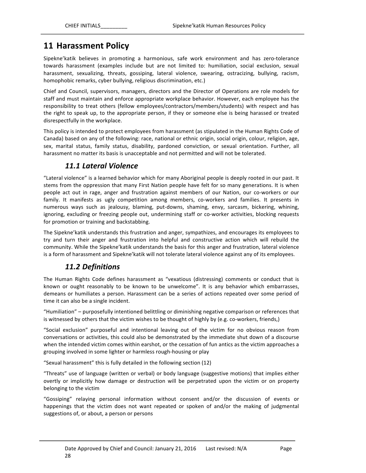# **11 Harassment Policy**

Sipekne'katik believes in promoting a harmonious, safe work environment and has zero-tolerance towards harassment (examples include but are not limited to: humiliation, social exclusion, sexual harassment, sexualizing, threats, gossiping, lateral violence, swearing, ostracizing, bullying, racism, homophobic remarks, cyber bullying, religious discrimination, etc.)

Chief and Council, supervisors, managers, directors and the Director of Operations are role models for staff and must maintain and enforce appropriate workplace behavior. However, each employee has the responsibility to treat others (fellow employees/contractors/members/students) with respect and has the right to speak up, to the appropriate person, if they or someone else is being harassed or treated disrespectfully in the workplace.

This policy is intended to protect employees from harassment (as stipulated in the Human Rights Code of Canada) based on any of the following: race, national or ethnic origin, social origin, colour, religion, age, sex, marital status, family status, disability, pardoned conviction, or sexual orientation. Further, all harassment no matter its basis is unacceptable and not permitted and will not be tolerated.

### *11.1 Lateral Violence*

"Lateral violence" is a learned behavior which for many Aboriginal people is deeply rooted in our past. It stems from the oppression that many First Nation people have felt for so many generations. It is when people act out in rage, anger and frustration against members of our Nation, our co-workers or our family. It manifests as ugly competition among members, co-workers and families. It presents in numerous ways such as jealousy, blaming, put-downs, shaming, envy, sarcasm, bickering, whining, ignoring, excluding or freezing people out, undermining staff or co-worker activities, blocking requests for promotion or training and backstabbing.

The Sipekne' katik understands this frustration and anger, sympathizes, and encourages its employees to try and turn their anger and frustration into helpful and constructive action which will rebuild the community. While the Sipekne' katik understands the basis for this anger and frustration, lateral violence is a form of harassment and Sipekne'katik will not tolerate lateral violence against any of its employees.

# *11.2 Definitions*

The Human Rights Code defines harassment as "vexatious (distressing) comments or conduct that is known or ought reasonably to be known to be unwelcome". It is any behavior which embarrasses, demeans or humiliates a person. Harassment can be a series of actions repeated over some period of time it can also be a single incident.

"Humiliation" - purposefully intentioned belittling or diminishing negative comparison or references that is witnessed by others that the victim wishes to be thought of highly by (e.g. co-workers, friends,)

"Social exclusion" purposeful and intentional leaving out of the victim for no obvious reason from conversations or activities, this could also be demonstrated by the immediate shut down of a discourse when the intended victim comes within earshot, or the cessation of fun antics as the victim approaches a grouping involved in some lighter or harmless rough-housing or play

"Sexual harassment" this is fully detailed in the following section (12)

"Threats" use of language (written or verbal) or body language (suggestive motions) that implies either overtly or implicitly how damage or destruction will be perpetrated upon the victim or on property belonging to the victim

"Gossiping" relaying personal information without consent and/or the discussion of events or happenings that the victim does not want repeated or spoken of and/or the making of judgmental suggestions of, or about, a person or persons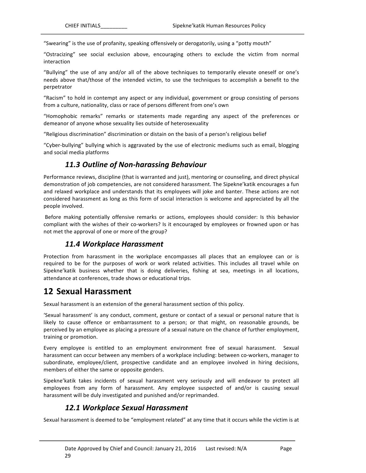"Swearing" is the use of profanity, speaking offensively or derogatorily, using a "potty mouth"

"Ostracizing" see social exclusion above, encouraging others to exclude the victim from normal interaction

"Bullying" the use of any and/or all of the above techniques to temporarily elevate oneself or one's needs above that/those of the intended victim, to use the techniques to accomplish a benefit to the perpetrator

"Racism" to hold in contempt any aspect or any individual, government or group consisting of persons from a culture, nationality, class or race of persons different from one's own

"Homophobic remarks" remarks or statements made regarding any aspect of the preferences or demeanor of anyone whose sexuality lies outside of heterosexuality

"Religious discrimination" discrimination or distain on the basis of a person's religious belief

"Cyber-bullying" bullying which is aggravated by the use of electronic mediums such as email, blogging and social media platforms

### *11.3 Outline of Non-harassing Behaviour*

Performance reviews, discipline (that is warranted and just), mentoring or counseling, and direct physical demonstration of job competencies, are not considered harassment. The Sipekne'katik encourages a fun and relaxed workplace and understands that its employees will joke and banter. These actions are not considered harassment as long as this form of social interaction is welcome and appreciated by all the people involved.

Before making potentially offensive remarks or actions, employees should consider: Is this behavior compliant with the wishes of their co-workers? Is it encouraged by employees or frowned upon or has not met the approval of one or more of the group?

#### *11.4 Workplace Harassment*

Protection from harassment in the workplace encompasses all places that an employee can or is required to be for the purposes of work or work related activities. This includes all travel while on Sipekne'katik business whether that is doing deliveries, fishing at sea, meetings in all locations, attendance at conferences, trade shows or educational trips.

# **12 Sexual Harassment**

Sexual harassment is an extension of the general harassment section of this policy.

'Sexual harassment' is any conduct, comment, gesture or contact of a sexual or personal nature that is likely to cause offence or embarrassment to a person; or that might, on reasonable grounds, be perceived by an employee as placing a pressure of a sexual nature on the chance of further employment, training or promotion.

Every employee is entitled to an employment environment free of sexual harassment. Sexual harassment can occur between any members of a workplace including: between co-workers, manager to subordinate, employee/client, prospective candidate and an employee involved in hiring decisions, members of either the same or opposite genders.

Sipekne'katik takes incidents of sexual harassment very seriously and will endeavor to protect all employees from any form of harassment. Any employee suspected of and/or is causing sexual harassment will be duly investigated and punished and/or reprimanded.

# 12.1 Workplace Sexual Harassment

Sexual harassment is deemed to be "employment related" at any time that it occurs while the victim is at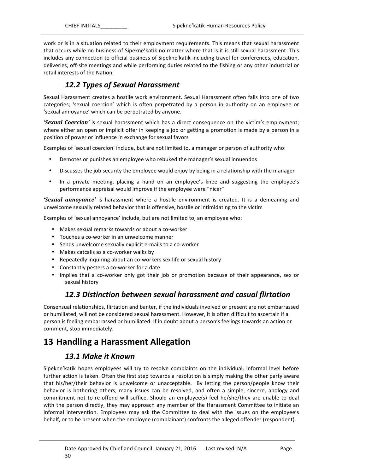work or is in a situation related to their employment requirements. This means that sexual harassment that occurs while on business of Sipekne'katik no matter where that is it is still sexual harassment. This includes any connection to official business of Sipekne' katik including travel for conferences, education, deliveries, off-site meetings and while performing duties related to the fishing or any other industrial or retail interests of the Nation.

## *12.2 Types of Sexual Harassment*

Sexual Harassment creates a hostile work environment. Sexual Harassment often falls into one of two categories; 'sexual coercion' which is often perpetrated by a person in authority on an employee or 'sexual annoyance' which can be perpetrated by anyone.

**'Sexual Coercion'** is sexual harassment which has a direct consequence on the victim's employment; where either an open or implicit offer in keeping a job or getting a promotion is made by a person in a position of power or influence in exchange for sexual favors

Examples of 'sexual coercion' include, but are not limited to, a manager or person of authority who:

- Demotes or punishes an employee who rebuked the manager's sexual innuendos
- Discusses the job security the employee would enjoy by being in a relationship with the manager
- In a private meeting, placing a hand on an employee's knee and suggesting the employee's performance appraisal would improve if the employee were "nicer"

**'Sexual annoyance'** is harassment where a hostile environment is created. It is a demeaning and unwelcome sexually related behavior that is offensive, hostile or intimidating to the victim

Examples of 'sexual annoyance' include, but are not limited to, an employee who:

- Makes sexual remarks towards or about a co-worker
- Touches a co-worker in an unwelcome manner
- Sends unwelcome sexually explicit e-mails to a co-worker
- Makes catcalls as a co-worker walks by
- Repeatedly inquiring about an co-workers sex life or sexual history
- Constantly pesters a co-worker for a date
- Implies that a co-worker only got their job or promotion because of their appearance, sex or sexual history

#### *12.3 Distinction between sexual harassment and casual flirtation*

Consensual relationships, flirtation and banter, if the individuals involved or present are not embarrassed or humiliated, will not be considered sexual harassment. However, it is often difficult to ascertain if a person is feeling embarrassed or humiliated. If in doubt about a person's feelings towards an action or comment, stop immediately.

# **13 Handling a Harassment Allegation**

#### *13.1 Make it Known*

Sipekne'katik hopes employees will try to resolve complaints on the individual, informal level before further action is taken. Often the first step towards a resolution is simply making the other party aware that his/her/their behavior is unwelcome or unacceptable. By letting the person/people know their behavior is bothering others, many issues can be resolved, and often a simple, sincere, apology and commitment not to re-offend will suffice. Should an employee(s) feel he/she/they are unable to deal with the person directly, they may approach any member of the Harassment Committee to initiate an informal intervention. Employees may ask the Committee to deal with the issues on the employee's behalf, or to be present when the employee (complainant) confronts the alleged offender (respondent).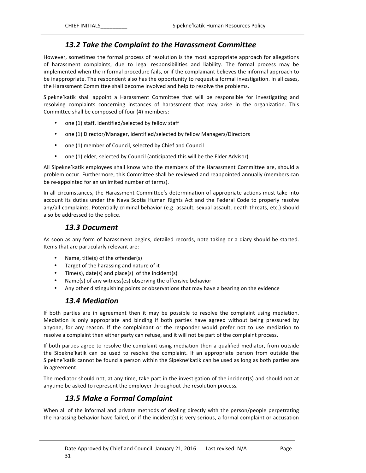#### 13.2 Take the Complaint to the Harassment Committee

However, sometimes the formal process of resolution is the most appropriate approach for allegations of harassment complaints, due to legal responsibilities and liability. The formal process may be implemented when the informal procedure fails, or if the complainant believes the informal approach to be inappropriate. The respondent also has the opportunity to request a formal investigation. In all cases, the Harassment Committee shall become involved and help to resolve the problems.

Sipekne'katik shall appoint a Harassment Committee that will be responsible for investigating and resolving complaints concerning instances of harassment that may arise in the organization. This Committee shall be composed of four (4) members:

- one (1) staff, identified/selected by fellow staff
- one (1) Director/Manager, identified/selected by fellow Managers/Directors
- one (1) member of Council, selected by Chief and Council
- one (1) elder, selected by Council (anticipated this will be the Elder Advisor)

All Sipekne'katik employees shall know who the members of the Harassment Committee are, should a problem occur. Furthermore, this Committee shall be reviewed and reappointed annually (members can be re-appointed for an unlimited number of terms).

In all circumstances, the Harassment Committee's determination of appropriate actions must take into account its duties under the Nava Scotia Human Rights Act and the Federal Code to properly resolve any/all complaints. Potentially criminal behavior (e.g. assault, sexual assault, death threats, etc.) should also be addressed to the police.

#### *13.3 Document*

As soon as any form of harassment begins, detailed records, note taking or a diary should be started. Items that are particularly relevant are:

- Name, title(s) of the offender(s)
- Target of the harassing and nature of it
- Time(s), date(s) and place(s) of the incident(s)
- Name(s) of any witness(es) observing the offensive behavior
- Any other distinguishing points or observations that may have a bearing on the evidence

#### *13.4 Mediation*

If both parties are in agreement then it may be possible to resolve the complaint using mediation. Mediation is only appropriate and binding if both parties have agreed without being pressured by anyone, for any reason. If the complainant or the responder would prefer not to use mediation to resolve a complaint then either party can refuse, and it will not be part of the complaint process.

If both parties agree to resolve the complaint using mediation then a qualified mediator, from outside the Sipekne'katik can be used to resolve the complaint. If an appropriate person from outside the Sipekne'katik cannot be found a person within the Sipekne'katik can be used as long as both parties are in agreement.

The mediator should not, at any time, take part in the investigation of the incident(s) and should not at anytime be asked to represent the employer throughout the resolution process.

#### *13.5 Make a Formal Complaint*

When all of the informal and private methods of dealing directly with the person/people perpetrating the harassing behavior have failed, or if the incident(s) is very serious, a formal complaint or accusation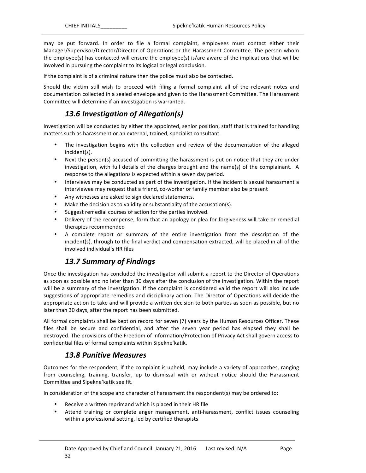may be put forward. In order to file a formal complaint, employees must contact either their Manager/Supervisor/Director/Director of Operations or the Harassment Committee. The person whom the employee(s) has contacted will ensure the employee(s) is/are aware of the implications that will be involved in pursuing the complaint to its logical or legal conclusion.

If the complaint is of a criminal nature then the police must also be contacted.

Should the victim still wish to proceed with filing a formal complaint all of the relevant notes and documentation collected in a sealed envelope and given to the Harassment Committee. The Harassment Committee will determine if an investigation is warranted.

# *13.6 Investigation of Allegation(s)*

Investigation will be conducted by either the appointed, senior position, staff that is trained for handling matters such as harassment or an external, trained, specialist consultant.

- The investigation begins with the collection and review of the documentation of the alleged incident(s).
- Next the person(s) accused of committing the harassment is put on notice that they are under investigation, with full details of the charges brought and the name(s) of the complainant. A response to the allegations is expected within a seven day period.
- Interviews may be conducted as part of the investigation. If the incident is sexual harassment a interviewee may request that a friend, co-worker or family member also be present
- Any witnesses are asked to sign declared statements.
- Make the decision as to validity or substantiality of the accusation(s).
- Suggest remedial courses of action for the parties involved.
- Delivery of the recompense, form that an apology or plea for forgiveness will take or remedial therapies recommended
- A complete report or summary of the entire investigation from the description of the incident(s), through to the final verdict and compensation extracted, will be placed in all of the involved individual's HR files

# *13.7 Summary of Findings*

Once the investigation has concluded the investigator will submit a report to the Director of Operations as soon as possible and no later than 30 days after the conclusion of the investigation. Within the report will be a summary of the investigation. If the complaint is considered valid the report will also include suggestions of appropriate remedies and disciplinary action. The Director of Operations will decide the appropriate action to take and will provide a written decision to both parties as soon as possible, but no later than 30 days, after the report has been submitted.

All formal complaints shall be kept on record for seven (7) years by the Human Resources Officer. These files shall be secure and confidential, and after the seven year period has elapsed they shall be destroyed. The provisions of the Freedom of Information/Protection of Privacy Act shall govern access to confidential files of formal complaints within Sipekne'katik.

#### *13.8 Punitive Measures*

Outcomes for the respondent, if the complaint is upheld, may include a variety of approaches, ranging from counseling, training, transfer, up to dismissal with or without notice should the Harassment Committee and Sipekne' katik see fit.

In consideration of the scope and character of harassment the respondent(s) may be ordered to:

- Receive a written reprimand which is placed in their HR file
- Attend training or complete anger management, anti-harassment, conflict issues counseling within a professional setting, led by certified therapists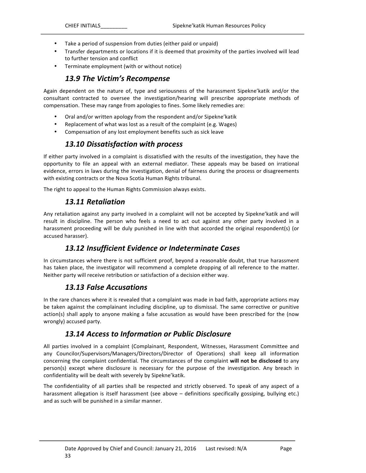- Take a period of suspension from duties (either paid or unpaid)
- Transfer departments or locations if it is deemed that proximity of the parties involved will lead to further tension and conflict
- Terminate employment (with or without notice)

#### 13.9 The Victim's Recompense

Again dependent on the nature of, type and seriousness of the harassment Sipekne'katik and/or the consultant contracted to oversee the investigation/hearing will prescribe appropriate methods of compensation. These may range from apologies to fines. Some likely remedies are:

- Oral and/or written apology from the respondent and/or Sipekne'katik
- Replacement of what was lost as a result of the complaint (e.g. Wages)
- Compensation of any lost employment benefits such as sick leave

#### *13.10 Dissatisfaction with process*

If either party involved in a complaint is dissatisfied with the results of the investigation, they have the opportunity to file an appeal with an external mediator. These appeals may be based on irrational evidence, errors in laws during the investigation, denial of fairness during the process or disagreements with existing contracts or the Nova Scotia Human Rights tribunal.

The right to appeal to the Human Rights Commission always exists.

#### *13.11 Retaliation*

Any retaliation against any party involved in a complaint will not be accepted by Sipekne'katik and will result in discipline. The person who feels a need to act out against any other party involved in a harassment proceeding will be duly punished in line with that accorded the original respondent(s) (or accused harasser).

#### *13.12 Insufficient Evidence or Indeterminate Cases*

In circumstances where there is not sufficient proof, beyond a reasonable doubt, that true harassment has taken place, the investigator will recommend a complete dropping of all reference to the matter. Neither party will receive retribution or satisfaction of a decision either way.

#### **13.13 False Accusations**

In the rare chances where it is revealed that a complaint was made in bad faith, appropriate actions may be taken against the complainant including discipline, up to dismissal. The same corrective or punitive action(s) shall apply to anyone making a false accusation as would have been prescribed for the (now wrongly) accused party.

#### 13.14 Access to Information or Public Disclosure

All parties involved in a complaint (Complainant, Respondent, Witnesses, Harassment Committee and any Councilor/Supervisors/Managers/Directors/Director of Operations) shall keep all information concerning the complaint confidential. The circumstances of the complaint **will not be disclosed** to any person(s) except where disclosure is necessary for the purpose of the investigation. Any breach in confidentiality will be dealt with severely by Sipekne'katik.

The confidentiality of all parties shall be respected and strictly observed. To speak of any aspect of a harassment allegation is itself harassment (see above – definitions specifically gossiping, bullying etc.) and as such will be punished in a similar manner.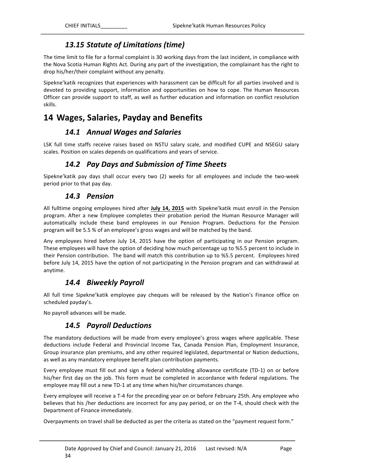### *13.15 Statute of Limitations (time)*

The time limit to file for a formal complaint is 30 working days from the last incident, in compliance with the Nova Scotia Human Rights Act. During any part of the investigation, the complainant has the right to drop his/her/their complaint without any penalty.

Sipekne'katik recognizes that experiences with harassment can be difficult for all parties involved and is devoted to providing support, information and opportunities on how to cope. The Human Resources Officer can provide support to staff, as well as further education and information on conflict resolution skills.

# 14 Wages, Salaries, Payday and Benefits

#### *14.1 Annual Wages and Salaries*

LSK full time staffs receive raises based on NSTU salary scale, and modified CUPE and NSEGU salary scales. Position on scales depends on qualifications and years of service.

### *14.2 Pay Days and Submission of Time Sheets*

Sipekne'katik pay days shall occur every two (2) weeks for all employees and include the two-week period prior to that pay day.

#### *14.3 Pension*

All fulltime ongoing employees hired after July 14, 2015 with Sipekne'katik must enroll in the Pension program. After a new Employee completes their probation period the Human Resource Manager will automatically include these band employees in our Pension Program. Deductions for the Pension program will be 5.5 % of an employee's gross wages and will be matched by the band.

Any employees hired before July 14, 2015 have the option of participating in our Pension program. These employees will have the option of deciding how much percentage up to %5.5 percent to include in their Pension contribution. The band will match this contribution up to %5.5 percent. Employees hired before July 14, 2015 have the option of not participating in the Pension program and can withdrawal at anytime.

### 14.4 **Biweekly Payroll**

All full time Sipekne'katik employee pay cheques will be released by the Nation's Finance office on scheduled payday's.

No payroll advances will be made.

### *14.5 Payroll Deductions*

The mandatory deductions will be made from every employee's gross wages where applicable. These deductions include Federal and Provincial Income Tax, Canada Pension Plan, Employment Insurance, Group insurance plan premiums, and any other required legislated, departmental or Nation deductions, as well as any mandatory employee benefit plan contribution payments.

Every employee must fill out and sign a federal withholding allowance certificate (TD-1) on or before his/her first day on the job. This form must be completed in accordance with federal regulations. The employee may fill out a new TD-1 at any time when his/her circumstances change.

Every employee will receive a T-4 for the preceding year on or before February 25th. Any employee who believes that his /her deductions are incorrect for any pay period, or on the T-4, should check with the Department of Finance immediately.

Overpayments on travel shall be deducted as per the criteria as stated on the "payment request form."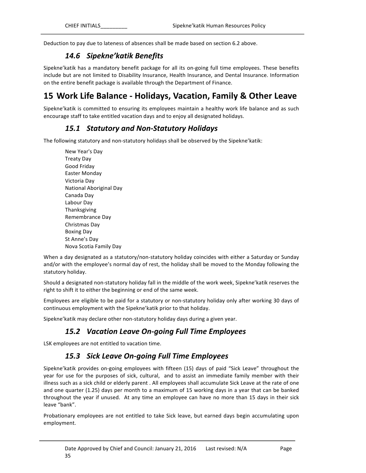Deduction to pay due to lateness of absences shall be made based on section 6.2 above.

### *14.6 Sipekne'katik Benefits*

Sipekne'katik has a mandatory benefit package for all its on-going full time employees. These benefits include but are not limited to Disability Insurance, Health Insurance, and Dental Insurance. Information on the entire benefit package is available through the Department of Finance.

# **15 Work Life Balance - Holidays, Vacation, Family & Other Leave**

Sipekne'katik is committed to ensuring its employees maintain a healthy work life balance and as such encourage staff to take entitled vacation days and to enjoy all designated holidays.

#### *15.1 Statutory and Non-Statutory Holidays*

The following statutory and non-statutory holidays shall be observed by the Sipekne'katik:

New Year's Day Treaty Day Good Friday Easter Monday Victoria Day National Aboriginal Day Canada Day Labour Day Thanksgiving Remembrance Day Christmas Day Boxing Day St Anne's Day Nova Scotia Family Day

When a day designated as a statutory/non-statutory holiday coincides with either a Saturday or Sunday and/or with the employee's normal day of rest, the holiday shall be moved to the Monday following the statutory holiday.

Should a designated non-statutory holiday fall in the middle of the work week, Sipekne'katik reserves the right to shift it to either the beginning or end of the same week.

Employees are eligible to be paid for a statutory or non-statutory holiday only after working 30 days of continuous employment with the Sipekne' katik prior to that holiday.

Sipekne'katik may declare other non-statutory holiday days during a given year.

# *15.2 Vacation Leave On-going Full Time Employees*

LSK employees are not entitled to vacation time.

### *15.3 Sick Leave On-going Full Time Employees*

Sipekne'katik provides on-going employees with fifteen (15) days of paid "Sick Leave" throughout the year for use for the purposes of sick, cultural, and to assist an immediate family member with their illness such as a sick child or elderly parent . All employees shall accumulate Sick Leave at the rate of one and one quarter (1.25) days per month to a maximum of 15 working days in a year that can be banked throughout the year if unused. At any time an employee can have no more than 15 days in their sick leave "bank".

Probationary employees are not entitled to take Sick leave, but earned days begin accumulating upon employment.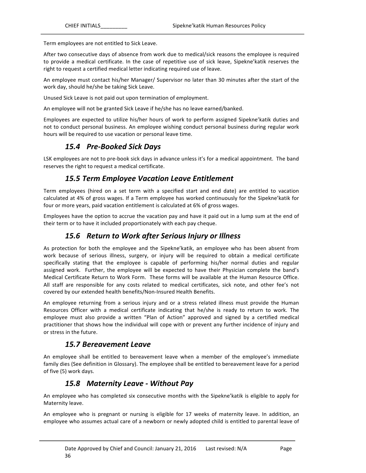Term employees are not entitled to Sick Leave.

After two consecutive days of absence from work due to medical/sick reasons the employee is required to provide a medical certificate. In the case of repetitive use of sick leave, Sipekne'katik reserves the right to request a certified medical letter indicating required use of leave.

An employee must contact his/her Manager/ Supervisor no later than 30 minutes after the start of the work day, should he/she be taking Sick Leave.

Unused Sick Leave is not paid out upon termination of employment.

An employee will not be granted Sick Leave if he/she has no leave earned/banked.

Employees are expected to utilize his/her hours of work to perform assigned Sipekne'katik duties and not to conduct personal business. An employee wishing conduct personal business during regular work hours will be required to use vacation or personal leave time.

#### *15.4 Pre-Booked Sick Days*

LSK employees are not to pre-book sick days in advance unless it's for a medical appointment. The band reserves the right to request a medical certificate.

#### **15.5 Term Employee Vacation Leave Entitlement**

Term employees (hired on a set term with a specified start and end date) are entitled to vacation calculated at 4% of gross wages. If a Term employee has worked continuously for the Sipekne'katik for four or more years, paid vacation entitlement is calculated at 6% of gross wages.

Employees have the option to accrue the vacation pay and have it paid out in a lump sum at the end of their term or to have it included proportionately with each pay cheque.

#### 15.6 Return to Work after Serious Injury or Illness

As protection for both the employee and the Sipekne'katik, an employee who has been absent from work because of serious illness, surgery, or injury will be required to obtain a medical certificate specifically stating that the employee is capable of performing his/her normal duties and regular assigned work. Further, the employee will be expected to have their Physician complete the band's Medical Certificate Return to Work Form. These forms will be available at the Human Resource Office. All staff are responsible for any costs related to medical certificates, sick note, and other fee's not covered by our extended health benefits/Non-Insured Health Benefits.

An employee returning from a serious injury and or a stress related illness must provide the Human Resources Officer with a medical certificate indicating that he/she is ready to return to work. The employee must also provide a written "Plan of Action" approved and signed by a certified medical practitioner that shows how the individual will cope with or prevent any further incidence of injury and or stress in the future.

#### *15.7 Bereavement Leave*

An employee shall be entitled to bereavement leave when a member of the employee's immediate family dies (See definition in Glossary). The employee shall be entitled to bereavement leave for a period of five (5) work days.

### *15.8 Maternity Leave - Without Pay*

An employee who has completed six consecutive months with the Sipekne'katik is eligible to apply for Maternity leave.

An employee who is pregnant or nursing is eligible for 17 weeks of maternity leave. In addition, an employee who assumes actual care of a newborn or newly adopted child is entitled to parental leave of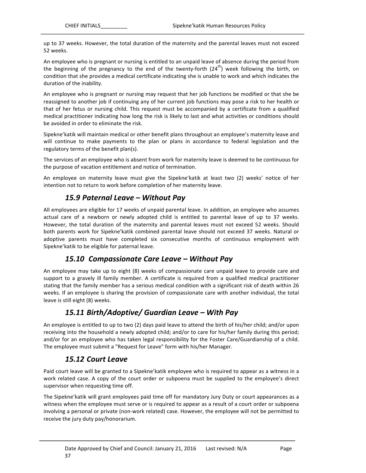up to 37 weeks. However, the total duration of the maternity and the parental leaves must not exceed 52 weeks.

An employee who is pregnant or nursing is entitled to an unpaid leave of absence during the period from the beginning of the pregnancy to the end of the twenty-forth  $(24<sup>th</sup>)$  week following the birth, on condition that she provides a medical certificate indicating she is unable to work and which indicates the duration of the inability.

An employee who is pregnant or nursing may request that her job functions be modified or that she be reassigned to another job if continuing any of her current job functions may pose a risk to her health or that of her fetus or nursing child. This request must be accompanied by a certificate from a qualified medical practitioner indicating how long the risk is likely to last and what activities or conditions should be avoided in order to eliminate the risk.

Sipekne'katik will maintain medical or other benefit plans throughout an employee's maternity leave and will continue to make payments to the plan or plans in accordance to federal legislation and the regulatory terms of the benefit plan(s).

The services of an employee who is absent from work for maternity leave is deemed to be continuous for the purpose of vacation entitlement and notice of termination.

An employee on maternity leave must give the Sipekne'katik at least two (2) weeks' notice of her intention not to return to work before completion of her maternity leave.

#### *15.9 Paternal Leave – Without Pay*

All employees are eligible for 17 weeks of unpaid parental leave. In addition, an employee who assumes actual care of a newborn or newly adopted child is entitled to parental leave of up to 37 weeks. However, the total duration of the maternity and parental leaves must not exceed 52 weeks. Should both parents work for Sipekne'katik combined parental leave should not exceed 37 weeks. Natural or adoptive parents must have completed six consecutive months of continuous employment with Sipekne'katik to be eligible for paternal leave.

#### 15.10 Compassionate Care Leave – Without Pay

An employee may take up to eight (8) weeks of compassionate care unpaid leave to provide care and support to a gravely ill family member. A certificate is required from a qualified medical practitioner stating that the family member has a serious medical condition with a significant risk of death within 26 weeks. If an employee is sharing the provision of compassionate care with another individual, the total leave is still eight (8) weeks.

### *15.11 Birth/Adoptive/ Guardian Leave – With Pay*

An employee is entitled to up to two (2) days paid leave to attend the birth of his/her child; and/or upon receiving into the household a newly adopted child; and/or to care for his/her family during this period; and/or for an employee who has taken legal responsibility for the Foster Care/Guardianship of a child. The employee must submit a "Request for Leave" form with his/her Manager.

#### *15.12 Court Leave*

Paid court leave will be granted to a Sipekne' katik employee who is required to appear as a witness in a work related case. A copy of the court order or subpoena must be supplied to the employee's direct supervisor when requesting time off.

The Sipekne' katik will grant employees paid time off for mandatory Jury Duty or court appearances as a witness when the employee must serve or is required to appear as a result of a court order or subpoena involving a personal or private (non-work related) case. However, the employee will not be permitted to receive the jury duty pay/honorarium.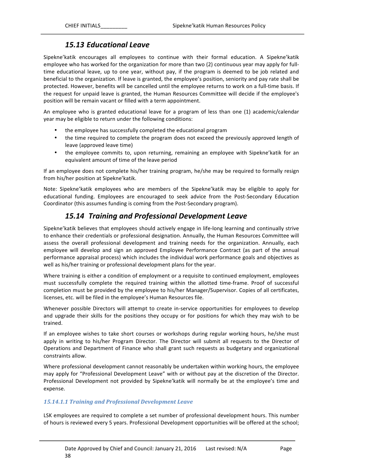#### *15.13 Educational Leave*

Sipekne'katik encourages all employees to continue with their formal education. A Sipekne'katik employee who has worked for the organization for more than two (2) continuous year may apply for fulltime educational leave, up to one year, without pay, if the program is deemed to be job related and beneficial to the organization. If leave is granted, the employee's position, seniority and pay rate shall be protected. However, benefits will be cancelled until the employee returns to work on a full-time basis. If the request for unpaid leave is granted, the Human Resources Committee will decide if the employee's position will be remain vacant or filled with a term appointment.

An employee who is granted educational leave for a program of less than one (1) academic/calendar year may be eligible to return under the following conditions:

- the employee has successfully completed the educational program
- the time required to complete the program does not exceed the previously approved length of leave (approved leave time)
- the employee commits to, upon returning, remaining an employee with Sipekne'katik for an equivalent amount of time of the leave period

If an employee does not complete his/her training program, he/she may be required to formally resign from his/her position at Sipekne'katik.

Note: Sipekne'katik employees who are members of the Sipekne'katik may be eligible to apply for educational funding. Employees are encouraged to seek advice from the Post-Secondary Education Coordinator (this assumes funding is coming from the Post-Secondary program).

#### *15.14 Training and Professional Development Leave*

Sipekne'katik believes that employees should actively engage in life-long learning and continually strive to enhance their credentials or professional designation. Annually, the Human Resources Committee will assess the overall professional development and training needs for the organization. Annually, each employee will develop and sign an approved Employee Performance Contract (as part of the annual performance appraisal process) which includes the individual work performance goals and objectives as well as his/her training or professional development plans for the year.

Where training is either a condition of employment or a requisite to continued employment, employees must successfully complete the required training within the allotted time-frame. Proof of successful completion must be provided by the employee to his/her Manager/Supervisor. Copies of all certificates, licenses, etc. will be filed in the employee's Human Resources file.

Whenever possible Directors will attempt to create in-service opportunities for employees to develop and upgrade their skills for the positions they occupy or for positions for which they may wish to be trained.

If an employee wishes to take short courses or workshops during regular working hours, he/she must apply in writing to his/her Program Director. The Director will submit all requests to the Director of Operations and Department of Finance who shall grant such requests as budgetary and organizational constraints allow.

Where professional development cannot reasonably be undertaken within working hours, the employee may apply for "Professional Development Leave" with or without pay at the discretion of the Director. Professional Development not provided by Sipekne'katik will normally be at the employee's time and expense.

#### *15.14.1.1 Training and Professional Development Leave*

LSK employees are required to complete a set number of professional development hours. This number of hours is reviewed every 5 years. Professional Development opportunities will be offered at the school;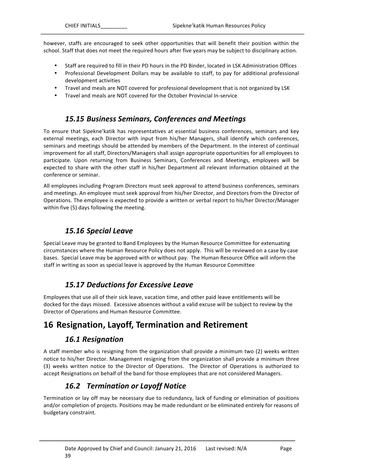however, staffs are encouraged to seek other opportunities that will benefit their position within the school. Staff that does not meet the required hours after five years may be subject to disciplinary action.

- Staff are required to fill in their PD hours in the PD Binder, located in LSK Administration Offices
- Professional Development Dollars may be available to staff, to pay for additional professional development activities
- Travel and meals are NOT covered for professional development that is not organized by LSK
- Travel and meals are NOT covered for the October Provincial In-service

### 15.15 Business Seminars, Conferences and Meetings

To ensure that Sipekne'katik has representatives at essential business conferences, seminars and key external meetings, each Director with input from his/her Managers, shall identify which conferences, seminars and meetings should be attended by members of the Department. In the interest of continual improvement for all staff, Directors/Managers shall assign appropriate opportunities for all employees to participate. Upon returning from Business Seminars, Conferences and Meetings, employees will be expected to share with the other staff in his/her Department all relevant information obtained at the conference or seminar.

All employees including Program Directors must seek approval to attend business conferences, seminars and meetings. An employee must seek approval from his/her Director, and Directors from the Director of Operations. The employee is expected to provide a written or verbal report to his/her Director/Manager within five (5) days following the meeting.

### *15.16 Special Leave*

Special Leave may be granted to Band Employees by the Human Resource Committee for extenuating circumstances where the Human Resource Policy does not apply. This will be reviewed on a case by case bases. Special Leave may be approved with or without pay. The Human Resource Office will inform the staff in writing as soon as special leave is approved by the Human Resource Committee

# *15.17 Deductions for Excessive Leave*

Employees that use all of their sick leave, vacation time, and other paid leave entitlements will be docked for the days missed. Excessive absences without a valid excuse will be subject to review by the Director of Operations and Human Resource Committee.

# **16** Resignation, Layoff, Termination and Retirement

### *16.1 Resignation*

A staff member who is resigning from the organization shall provide a minimum two (2) weeks written notice to his/her Director. Management resigning from the organization shall provide a minimum three (3) weeks written notice to the Director of Operations. The Director of Operations is authorized to accept Resignations on behalf of the band for those employees that are not considered Managers.

# **16.2 Termination or Layoff Notice**

Termination or lay off may be necessary due to redundancy, lack of funding or elimination of positions and/or completion of projects. Positions may be made redundant or be eliminated entirely for reasons of budgetary constraint.